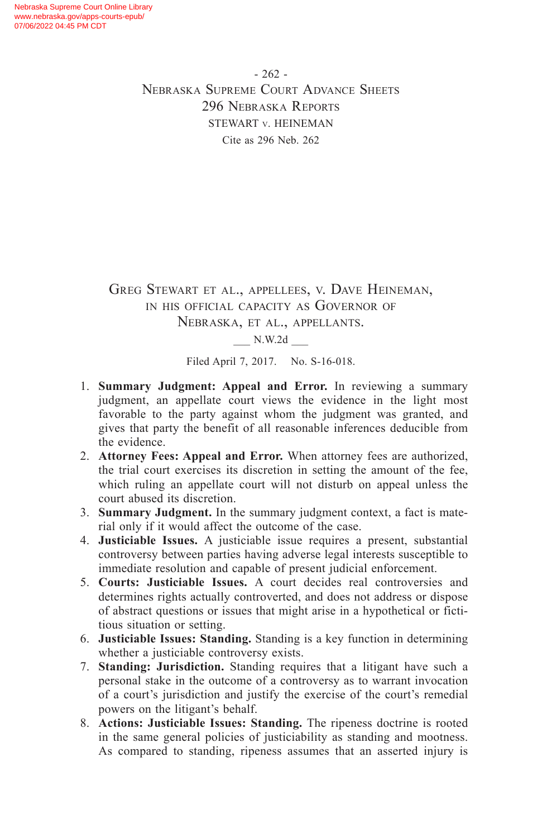$-262 -$ Nebraska Supreme Court Advance Sheets 296 Nebraska Reports STEWART v. HEINEMAN Cite as 296 Neb. 262

GREG STEWART ET AL., APPELLEES, V. DAVE HEINEMAN, in his official capacity as Governor of Nebraska, et al., appellants.  $N.W.2d$ 

Filed April 7, 2017. No. S-16-018.

- 1. **Summary Judgment: Appeal and Error.** In reviewing a summary judgment, an appellate court views the evidence in the light most favorable to the party against whom the judgment was granted, and gives that party the benefit of all reasonable inferences deducible from the evidence.
- 2. **Attorney Fees: Appeal and Error.** When attorney fees are authorized, the trial court exercises its discretion in setting the amount of the fee, which ruling an appellate court will not disturb on appeal unless the court abused its discretion.
- 3. **Summary Judgment.** In the summary judgment context, a fact is material only if it would affect the outcome of the case.
- 4. **Justiciable Issues.** A justiciable issue requires a present, substantial controversy between parties having adverse legal interests susceptible to immediate resolution and capable of present judicial enforcement.
- 5. **Courts: Justiciable Issues.** A court decides real controversies and determines rights actually controverted, and does not address or dispose of abstract questions or issues that might arise in a hypothetical or fictitious situation or setting.
- 6. **Justiciable Issues: Standing.** Standing is a key function in determining whether a justiciable controversy exists.
- 7. **Standing: Jurisdiction.** Standing requires that a litigant have such a personal stake in the outcome of a controversy as to warrant invocation of a court's jurisdiction and justify the exercise of the court's remedial powers on the litigant's behalf.
- 8. **Actions: Justiciable Issues: Standing.** The ripeness doctrine is rooted in the same general policies of justiciability as standing and mootness. As compared to standing, ripeness assumes that an asserted injury is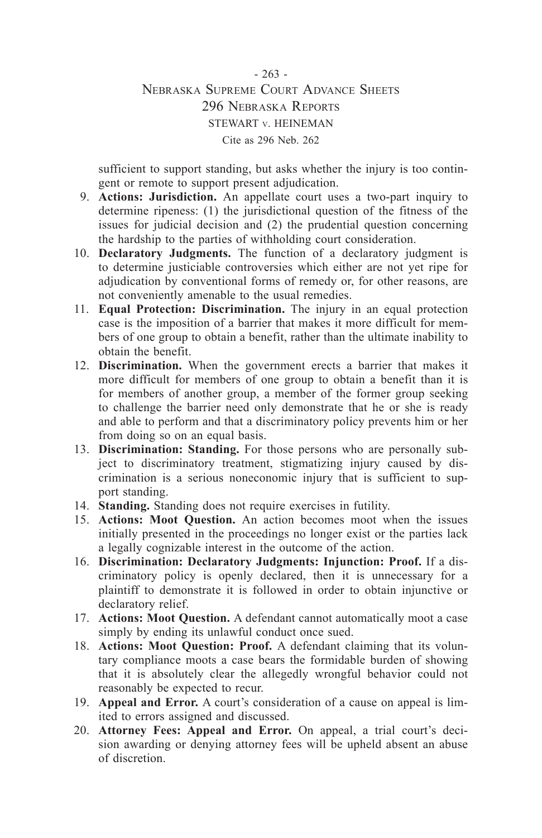## - 263 - Nebraska Supreme Court Advance Sheets 296 Nebraska Reports STEWART v. HEINEMAN Cite as 296 Neb. 262

sufficient to support standing, but asks whether the injury is too contingent or remote to support present adjudication.

- 9. **Actions: Jurisdiction.** An appellate court uses a two-part inquiry to determine ripeness: (1) the jurisdictional question of the fitness of the issues for judicial decision and (2) the prudential question concerning the hardship to the parties of withholding court consideration.
- 10. **Declaratory Judgments.** The function of a declaratory judgment is to determine justiciable controversies which either are not yet ripe for adjudication by conventional forms of remedy or, for other reasons, are not conveniently amenable to the usual remedies.
- 11. **Equal Protection: Discrimination.** The injury in an equal protection case is the imposition of a barrier that makes it more difficult for members of one group to obtain a benefit, rather than the ultimate inability to obtain the benefit.
- 12. **Discrimination.** When the government erects a barrier that makes it more difficult for members of one group to obtain a benefit than it is for members of another group, a member of the former group seeking to challenge the barrier need only demonstrate that he or she is ready and able to perform and that a discriminatory policy prevents him or her from doing so on an equal basis.
- 13. **Discrimination: Standing.** For those persons who are personally subject to discriminatory treatment, stigmatizing injury caused by discrimination is a serious noneconomic injury that is sufficient to support standing.
- 14. **Standing.** Standing does not require exercises in futility.
- 15. **Actions: Moot Question.** An action becomes moot when the issues initially presented in the proceedings no longer exist or the parties lack a legally cognizable interest in the outcome of the action.
- 16. **Discrimination: Declaratory Judgments: Injunction: Proof.** If a discriminatory policy is openly declared, then it is unnecessary for a plaintiff to demonstrate it is followed in order to obtain injunctive or declaratory relief.
- 17. **Actions: Moot Question.** A defendant cannot automatically moot a case simply by ending its unlawful conduct once sued.
- 18. **Actions: Moot Question: Proof.** A defendant claiming that its voluntary compliance moots a case bears the formidable burden of showing that it is absolutely clear the allegedly wrongful behavior could not reasonably be expected to recur.
- 19. **Appeal and Error.** A court's consideration of a cause on appeal is limited to errors assigned and discussed.
- 20. **Attorney Fees: Appeal and Error.** On appeal, a trial court's decision awarding or denying attorney fees will be upheld absent an abuse of discretion.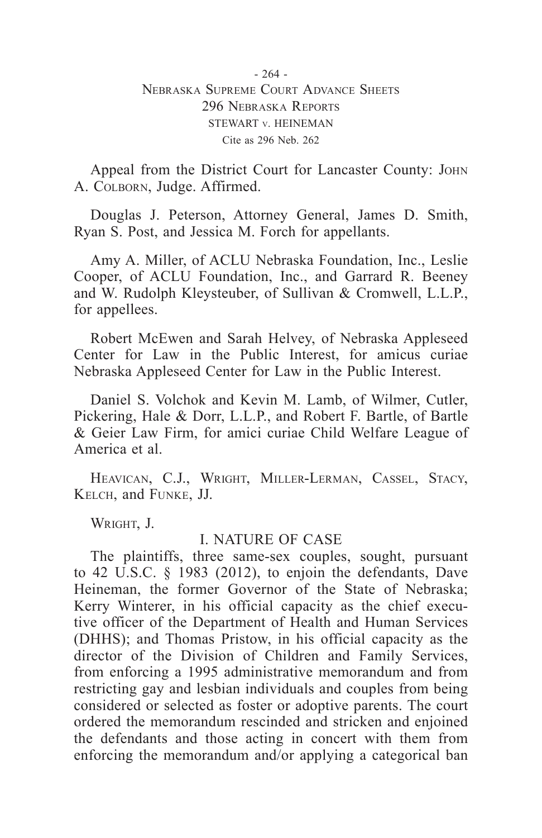## - 264 - Nebraska Supreme Court Advance Sheets 296 Nebraska Reports STEWART v. HEINEMAN Cite as 296 Neb. 262

Appeal from the District Court for Lancaster County: John A. Colborn, Judge. Affirmed.

Douglas J. Peterson, Attorney General, James D. Smith, Ryan S. Post, and Jessica M. Forch for appellants.

Amy A. Miller, of ACLU Nebraska Foundation, Inc., Leslie Cooper, of ACLU Foundation, Inc., and Garrard R. Beeney and W. Rudolph Kleysteuber, of Sullivan & Cromwell, L.L.P., for appellees.

Robert McEwen and Sarah Helvey, of Nebraska Appleseed Center for Law in the Public Interest, for amicus curiae Nebraska Appleseed Center for Law in the Public Interest.

Daniel S. Volchok and Kevin M. Lamb, of Wilmer, Cutler, Pickering, Hale & Dorr, L.L.P., and Robert F. Bartle, of Bartle & Geier Law Firm, for amici curiae Child Welfare League of America et al.

Heavican, C.J., Wright, Miller-Lerman, Cassel, Stacy, Kelch, and Funke, JJ.

WRIGHT, J.

## I. NATURE OF CASE

The plaintiffs, three same-sex couples, sought, pursuant to 42 U.S.C. § 1983 (2012), to enjoin the defendants, Dave Heineman, the former Governor of the State of Nebraska; Kerry Winterer, in his official capacity as the chief executive officer of the Department of Health and Human Services (DHHS); and Thomas Pristow, in his official capacity as the director of the Division of Children and Family Services, from enforcing a 1995 administrative memorandum and from restricting gay and lesbian individuals and couples from being considered or selected as foster or adoptive parents. The court ordered the memorandum rescinded and stricken and enjoined the defendants and those acting in concert with them from enforcing the memorandum and/or applying a categorical ban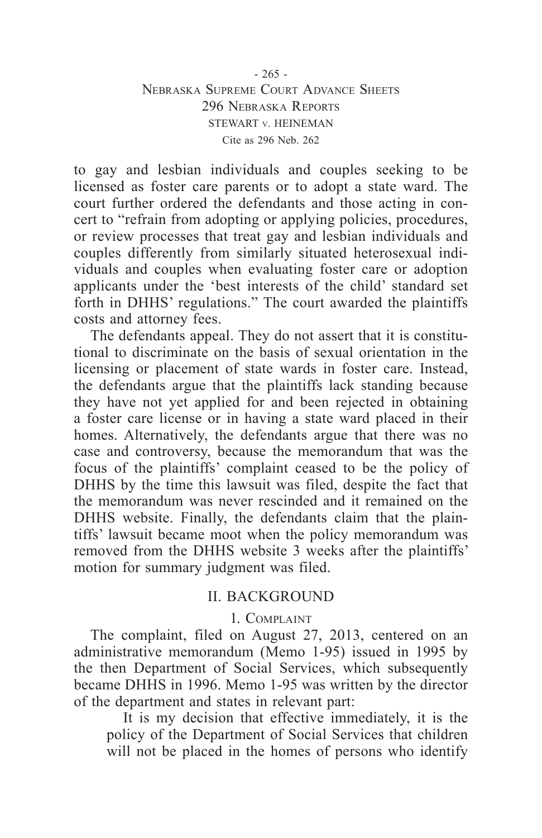## - 265 - Nebraska Supreme Court Advance Sheets 296 Nebraska Reports STEWART v. HEINEMAN Cite as 296 Neb. 262

to gay and lesbian individuals and couples seeking to be licensed as foster care parents or to adopt a state ward. The court further ordered the defendants and those acting in concert to "refrain from adopting or applying policies, procedures, or review processes that treat gay and lesbian individuals and couples differently from similarly situated heterosexual individuals and couples when evaluating foster care or adoption applicants under the 'best interests of the child' standard set forth in DHHS' regulations." The court awarded the plaintiffs costs and attorney fees.

The defendants appeal. They do not assert that it is constitutional to discriminate on the basis of sexual orientation in the licensing or placement of state wards in foster care. Instead, the defendants argue that the plaintiffs lack standing because they have not yet applied for and been rejected in obtaining a foster care license or in having a state ward placed in their homes. Alternatively, the defendants argue that there was no case and controversy, because the memorandum that was the focus of the plaintiffs' complaint ceased to be the policy of DHHS by the time this lawsuit was filed, despite the fact that the memorandum was never rescinded and it remained on the DHHS website. Finally, the defendants claim that the plaintiffs' lawsuit became moot when the policy memorandum was removed from the DHHS website 3 weeks after the plaintiffs' motion for summary judgment was filed.

# II. BACKGROUND

#### 1. Complaint

The complaint, filed on August 27, 2013, centered on an administrative memorandum (Memo 1-95) issued in 1995 by the then Department of Social Services, which subsequently became DHHS in 1996. Memo 1-95 was written by the director of the department and states in relevant part:

It is my decision that effective immediately, it is the policy of the Department of Social Services that children will not be placed in the homes of persons who identify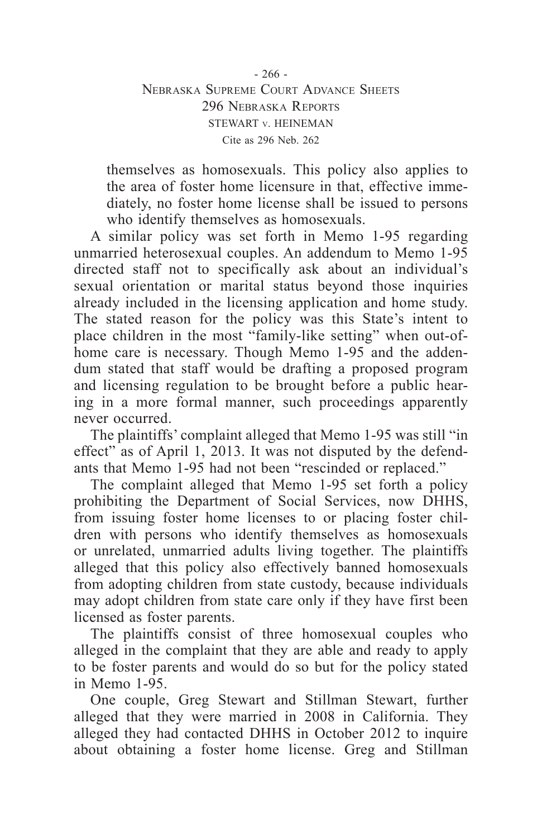- 266 - Nebraska Supreme Court Advance Sheets 296 Nebraska Reports STEWART v. HEINEMAN Cite as 296 Neb. 262

themselves as homosexuals. This policy also applies to the area of foster home licensure in that, effective immediately, no foster home license shall be issued to persons who identify themselves as homosexuals.

A similar policy was set forth in Memo 1-95 regarding unmarried heterosexual couples. An addendum to Memo 1-95 directed staff not to specifically ask about an individual's sexual orientation or marital status beyond those inquiries already included in the licensing application and home study. The stated reason for the policy was this State's intent to place children in the most "family-like setting" when out-ofhome care is necessary. Though Memo 1-95 and the addendum stated that staff would be drafting a proposed program and licensing regulation to be brought before a public hearing in a more formal manner, such proceedings apparently never occurred.

The plaintiffs' complaint alleged that Memo 1-95 was still "in effect" as of April 1, 2013. It was not disputed by the defendants that Memo 1-95 had not been "rescinded or replaced."

The complaint alleged that Memo 1-95 set forth a policy prohibiting the Department of Social Services, now DHHS, from issuing foster home licenses to or placing foster children with persons who identify themselves as homosexuals or unrelated, unmarried adults living together. The plaintiffs alleged that this policy also effectively banned homosexuals from adopting children from state custody, because individuals may adopt children from state care only if they have first been licensed as foster parents.

The plaintiffs consist of three homosexual couples who alleged in the complaint that they are able and ready to apply to be foster parents and would do so but for the policy stated in Memo 1-95.

One couple, Greg Stewart and Stillman Stewart, further alleged that they were married in 2008 in California. They alleged they had contacted DHHS in October 2012 to inquire about obtaining a foster home license. Greg and Stillman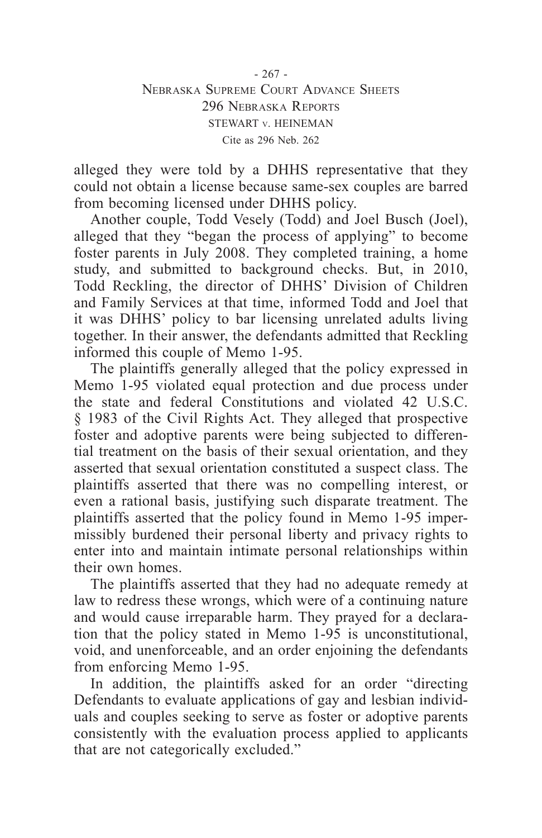- 267 - Nebraska Supreme Court Advance Sheets 296 Nebraska Reports STEWART v. HEINEMAN Cite as 296 Neb. 262

alleged they were told by a DHHS representative that they could not obtain a license because same-sex couples are barred from becoming licensed under DHHS policy.

Another couple, Todd Vesely (Todd) and Joel Busch (Joel), alleged that they "began the process of applying" to become foster parents in July 2008. They completed training, a home study, and submitted to background checks. But, in 2010, Todd Reckling, the director of DHHS' Division of Children and Family Services at that time, informed Todd and Joel that it was DHHS' policy to bar licensing unrelated adults living together. In their answer, the defendants admitted that Reckling informed this couple of Memo 1-95.

The plaintiffs generally alleged that the policy expressed in Memo 1-95 violated equal protection and due process under the state and federal Constitutions and violated 42 U.S.C. § 1983 of the Civil Rights Act. They alleged that prospective foster and adoptive parents were being subjected to differential treatment on the basis of their sexual orientation, and they asserted that sexual orientation constituted a suspect class. The plaintiffs asserted that there was no compelling interest, or even a rational basis, justifying such disparate treatment. The plaintiffs asserted that the policy found in Memo 1-95 impermissibly burdened their personal liberty and privacy rights to enter into and maintain intimate personal relationships within their own homes.

The plaintiffs asserted that they had no adequate remedy at law to redress these wrongs, which were of a continuing nature and would cause irreparable harm. They prayed for a declaration that the policy stated in Memo 1-95 is unconstitutional, void, and unenforceable, and an order enjoining the defendants from enforcing Memo 1-95.

In addition, the plaintiffs asked for an order "directing Defendants to evaluate applications of gay and lesbian individuals and couples seeking to serve as foster or adoptive parents consistently with the evaluation process applied to applicants that are not categorically excluded."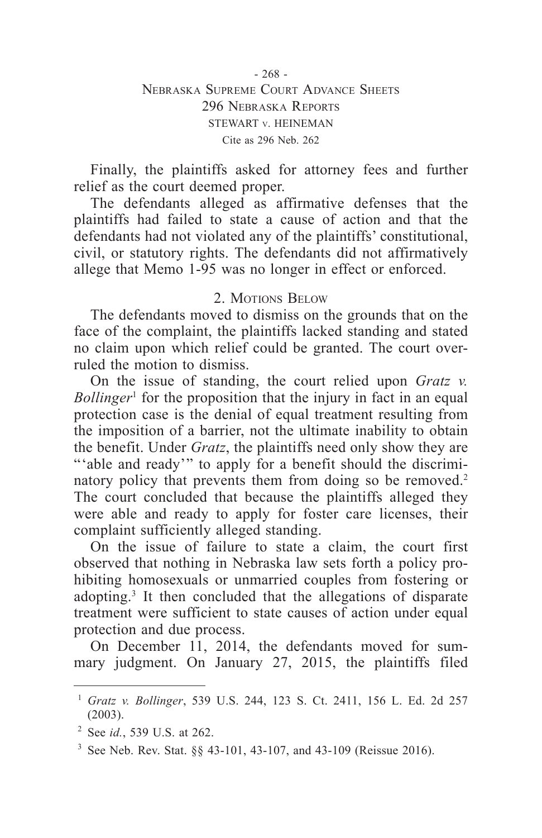Finally, the plaintiffs asked for attorney fees and further relief as the court deemed proper.

The defendants alleged as affirmative defenses that the plaintiffs had failed to state a cause of action and that the defendants had not violated any of the plaintiffs' constitutional, civil, or statutory rights. The defendants did not affirmatively allege that Memo 1-95 was no longer in effect or enforced.

## 2. Motions Below

The defendants moved to dismiss on the grounds that on the face of the complaint, the plaintiffs lacked standing and stated no claim upon which relief could be granted. The court overruled the motion to dismiss.

On the issue of standing, the court relied upon *Gratz v. Bollinger*<sup>1</sup> for the proposition that the injury in fact in an equal protection case is the denial of equal treatment resulting from the imposition of a barrier, not the ultimate inability to obtain the benefit. Under *Gratz*, the plaintiffs need only show they are "able and ready" to apply for a benefit should the discriminatory policy that prevents them from doing so be removed.<sup>2</sup> The court concluded that because the plaintiffs alleged they were able and ready to apply for foster care licenses, their complaint sufficiently alleged standing.

On the issue of failure to state a claim, the court first observed that nothing in Nebraska law sets forth a policy prohibiting homosexuals or unmarried couples from fostering or adopting.3 It then concluded that the allegations of disparate treatment were sufficient to state causes of action under equal protection and due process.

On December 11, 2014, the defendants moved for summary judgment. On January 27, 2015, the plaintiffs filed

<sup>1</sup> *Gratz v. Bollinger*, 539 U.S. 244, 123 S. Ct. 2411, 156 L. Ed. 2d 257 (2003).

<sup>2</sup> See *id.*, 539 U.S. at 262.

<sup>3</sup> See Neb. Rev. Stat. §§ 43-101, 43-107, and 43-109 (Reissue 2016).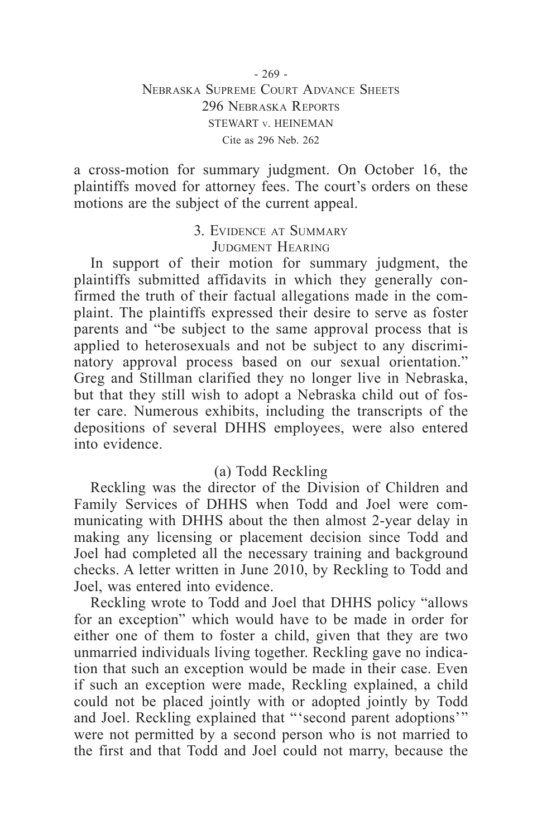## - 269 - Nebraska Supreme Court Advance Sheets 296 Nebraska Reports STEWART v. HEINEMAN Cite as 296 Neb. 262

a cross-motion for summary judgment. On October 16, the plaintiffs moved for attorney fees. The court's orders on these motions are the subject of the current appeal.

> 3. Evidence at Summary JUDGMENT HEARING

In support of their motion for summary judgment, the plaintiffs submitted affidavits in which they generally confirmed the truth of their factual allegations made in the complaint. The plaintiffs expressed their desire to serve as foster parents and "be subject to the same approval process that is applied to heterosexuals and not be subject to any discriminatory approval process based on our sexual orientation." Greg and Stillman clarified they no longer live in Nebraska, but that they still wish to adopt a Nebraska child out of foster care. Numerous exhibits, including the transcripts of the depositions of several DHHS employees, were also entered into evidence.

# (a) Todd Reckling

Reckling was the director of the Division of Children and Family Services of DHHS when Todd and Joel were communicating with DHHS about the then almost 2-year delay in making any licensing or placement decision since Todd and Joel had completed all the necessary training and background checks. A letter written in June 2010, by Reckling to Todd and Joel, was entered into evidence.

Reckling wrote to Todd and Joel that DHHS policy "allows for an exception" which would have to be made in order for either one of them to foster a child, given that they are two unmarried individuals living together. Reckling gave no indication that such an exception would be made in their case. Even if such an exception were made, Reckling explained, a child could not be placed jointly with or adopted jointly by Todd and Joel. Reckling explained that "'second parent adoptions'" were not permitted by a second person who is not married to the first and that Todd and Joel could not marry, because the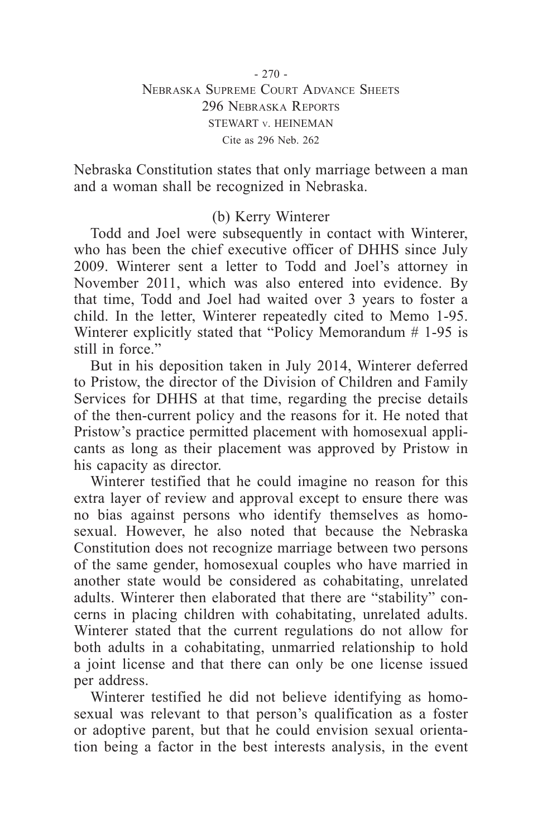Nebraska Constitution states that only marriage between a man and a woman shall be recognized in Nebraska.

# (b) Kerry Winterer

Todd and Joel were subsequently in contact with Winterer, who has been the chief executive officer of DHHS since July 2009. Winterer sent a letter to Todd and Joel's attorney in November 2011, which was also entered into evidence. By that time, Todd and Joel had waited over 3 years to foster a child. In the letter, Winterer repeatedly cited to Memo 1-95. Winterer explicitly stated that "Policy Memorandum # 1-95 is still in force."

But in his deposition taken in July 2014, Winterer deferred to Pristow, the director of the Division of Children and Family Services for DHHS at that time, regarding the precise details of the then-current policy and the reasons for it. He noted that Pristow's practice permitted placement with homosexual applicants as long as their placement was approved by Pristow in his capacity as director.

Winterer testified that he could imagine no reason for this extra layer of review and approval except to ensure there was no bias against persons who identify themselves as homosexual. However, he also noted that because the Nebraska Constitution does not recognize marriage between two persons of the same gender, homosexual couples who have married in another state would be considered as cohabitating, unrelated adults. Winterer then elaborated that there are "stability" concerns in placing children with cohabitating, unrelated adults. Winterer stated that the current regulations do not allow for both adults in a cohabitating, unmarried relationship to hold a joint license and that there can only be one license issued per address.

Winterer testified he did not believe identifying as homosexual was relevant to that person's qualification as a foster or adoptive parent, but that he could envision sexual orientation being a factor in the best interests analysis, in the event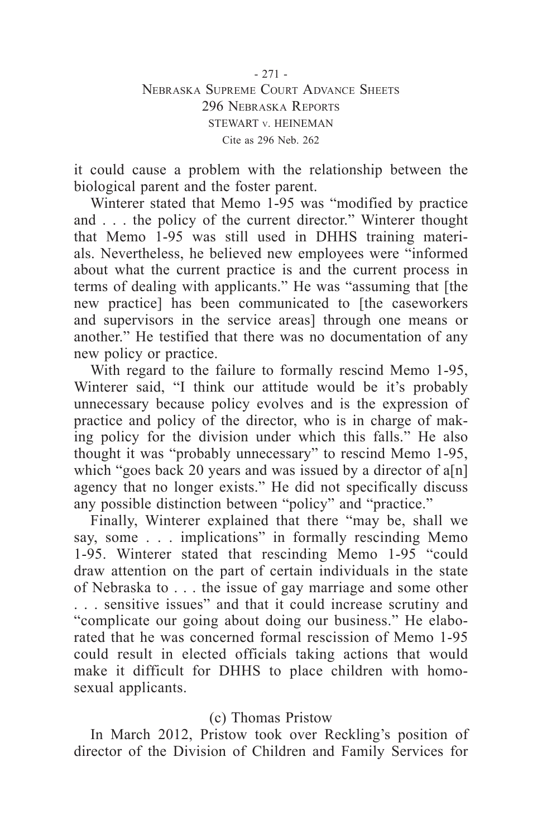- 271 - Nebraska Supreme Court Advance Sheets 296 Nebraska Reports STEWART v. HEINEMAN Cite as 296 Neb. 262

it could cause a problem with the relationship between the biological parent and the foster parent.

Winterer stated that Memo 1-95 was "modified by practice and . . . the policy of the current director." Winterer thought that Memo 1-95 was still used in DHHS training materials. Nevertheless, he believed new employees were "informed about what the current practice is and the current process in terms of dealing with applicants." He was "assuming that [the new practice] has been communicated to [the caseworkers and supervisors in the service areas] through one means or another." He testified that there was no documentation of any new policy or practice.

With regard to the failure to formally rescind Memo 1-95, Winterer said, "I think our attitude would be it's probably unnecessary because policy evolves and is the expression of practice and policy of the director, who is in charge of making policy for the division under which this falls." He also thought it was "probably unnecessary" to rescind Memo 1-95, which "goes back 20 years and was issued by a director of a[n] agency that no longer exists." He did not specifically discuss any possible distinction between "policy" and "practice."

Finally, Winterer explained that there "may be, shall we say, some . . . implications" in formally rescinding Memo 1-95. Winterer stated that rescinding Memo 1-95 "could draw attention on the part of certain individuals in the state of Nebraska to . . . the issue of gay marriage and some other . . . sensitive issues" and that it could increase scrutiny and "complicate our going about doing our business." He elaborated that he was concerned formal rescission of Memo 1-95 could result in elected officials taking actions that would make it difficult for DHHS to place children with homosexual applicants.

## (c) Thomas Pristow

In March 2012, Pristow took over Reckling's position of director of the Division of Children and Family Services for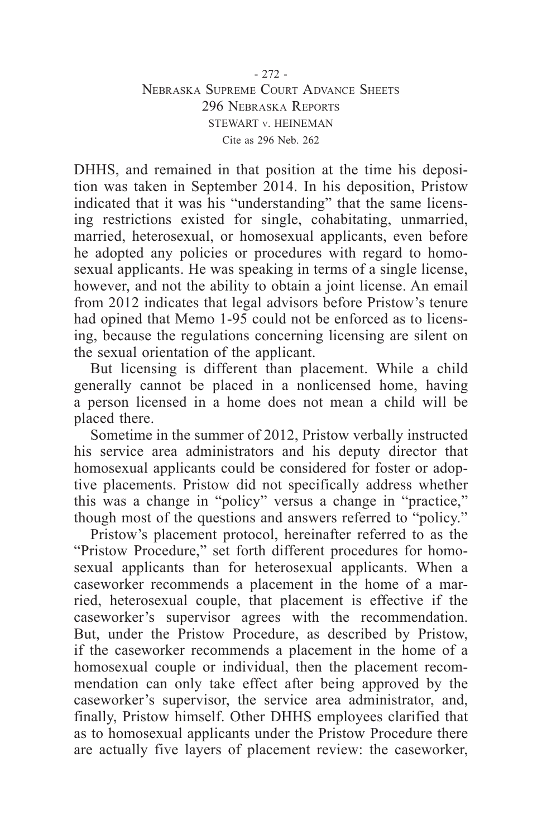## - 272 - Nebraska Supreme Court Advance Sheets 296 Nebraska Reports STEWART v. HEINEMAN Cite as 296 Neb. 262

DHHS, and remained in that position at the time his deposition was taken in September 2014. In his deposition, Pristow indicated that it was his "understanding" that the same licensing restrictions existed for single, cohabitating, unmarried, married, heterosexual, or homosexual applicants, even before he adopted any policies or procedures with regard to homosexual applicants. He was speaking in terms of a single license, however, and not the ability to obtain a joint license. An email from 2012 indicates that legal advisors before Pristow's tenure had opined that Memo 1-95 could not be enforced as to licensing, because the regulations concerning licensing are silent on the sexual orientation of the applicant.

But licensing is different than placement. While a child generally cannot be placed in a nonlicensed home, having a person licensed in a home does not mean a child will be placed there.

Sometime in the summer of 2012, Pristow verbally instructed his service area administrators and his deputy director that homosexual applicants could be considered for foster or adoptive placements. Pristow did not specifically address whether this was a change in "policy" versus a change in "practice," though most of the questions and answers referred to "policy."

Pristow's placement protocol, hereinafter referred to as the "Pristow Procedure," set forth different procedures for homosexual applicants than for heterosexual applicants. When a caseworker recommends a placement in the home of a married, heterosexual couple, that placement is effective if the caseworker's supervisor agrees with the recommendation. But, under the Pristow Procedure, as described by Pristow, if the caseworker recommends a placement in the home of a homosexual couple or individual, then the placement recommendation can only take effect after being approved by the caseworker's supervisor, the service area administrator, and, finally, Pristow himself. Other DHHS employees clarified that as to homosexual applicants under the Pristow Procedure there are actually five layers of placement review: the caseworker,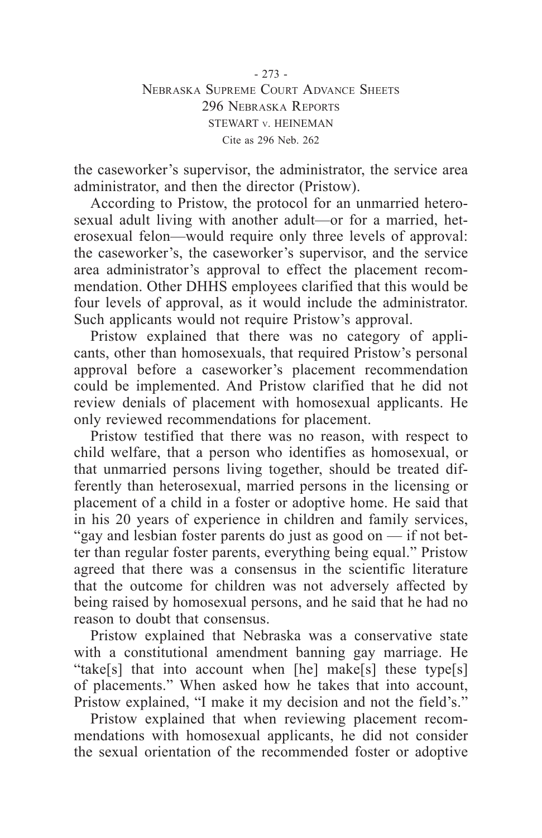- 273 - Nebraska Supreme Court Advance Sheets 296 Nebraska Reports STEWART v. HEINEMAN Cite as 296 Neb. 262

the caseworker's supervisor, the administrator, the service area administrator, and then the director (Pristow).

According to Pristow, the protocol for an unmarried heterosexual adult living with another adult—or for a married, heterosexual felon—would require only three levels of approval: the caseworker's, the caseworker's supervisor, and the service area administrator's approval to effect the placement recommendation. Other DHHS employees clarified that this would be four levels of approval, as it would include the administrator. Such applicants would not require Pristow's approval.

Pristow explained that there was no category of applicants, other than homosexuals, that required Pristow's personal approval before a caseworker's placement recommendation could be implemented. And Pristow clarified that he did not review denials of placement with homosexual applicants. He only reviewed recommendations for placement.

Pristow testified that there was no reason, with respect to child welfare, that a person who identifies as homosexual, or that unmarried persons living together, should be treated differently than heterosexual, married persons in the licensing or placement of a child in a foster or adoptive home. He said that in his 20 years of experience in children and family services, "gay and lesbian foster parents do just as good on — if not better than regular foster parents, everything being equal." Pristow agreed that there was a consensus in the scientific literature that the outcome for children was not adversely affected by being raised by homosexual persons, and he said that he had no reason to doubt that consensus.

Pristow explained that Nebraska was a conservative state with a constitutional amendment banning gay marriage. He "take[s] that into account when [he] make[s] these type[s] of placements." When asked how he takes that into account, Pristow explained, "I make it my decision and not the field's."

Pristow explained that when reviewing placement recommendations with homosexual applicants, he did not consider the sexual orientation of the recommended foster or adoptive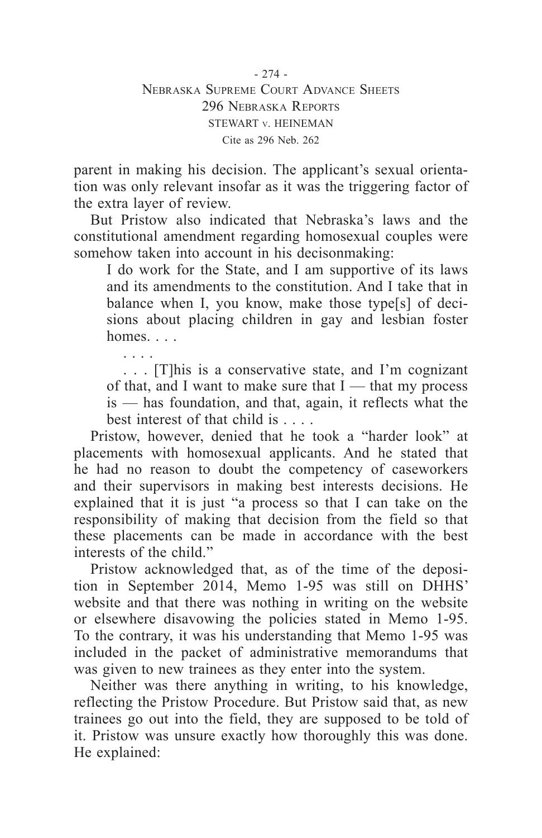parent in making his decision. The applicant's sexual orientation was only relevant insofar as it was the triggering factor of the extra layer of review.

But Pristow also indicated that Nebraska's laws and the constitutional amendment regarding homosexual couples were somehow taken into account in his decisonmaking:

I do work for the State, and I am supportive of its laws and its amendments to the constitution. And I take that in balance when I, you know, make those type[s] of decisions about placing children in gay and lesbian foster homes.

. . . . . . . [T]his is a conservative state, and I'm cognizant of that, and I want to make sure that  $I$  — that my process is — has foundation, and that, again, it reflects what the best interest of that child is . . . .

Pristow, however, denied that he took a "harder look" at placements with homosexual applicants. And he stated that he had no reason to doubt the competency of caseworkers and their supervisors in making best interests decisions. He explained that it is just "a process so that I can take on the responsibility of making that decision from the field so that these placements can be made in accordance with the best interests of the child."

Pristow acknowledged that, as of the time of the deposition in September 2014, Memo 1-95 was still on DHHS' website and that there was nothing in writing on the website or elsewhere disavowing the policies stated in Memo 1-95. To the contrary, it was his understanding that Memo 1-95 was included in the packet of administrative memorandums that was given to new trainees as they enter into the system.

Neither was there anything in writing, to his knowledge, reflecting the Pristow Procedure. But Pristow said that, as new trainees go out into the field, they are supposed to be told of it. Pristow was unsure exactly how thoroughly this was done. He explained: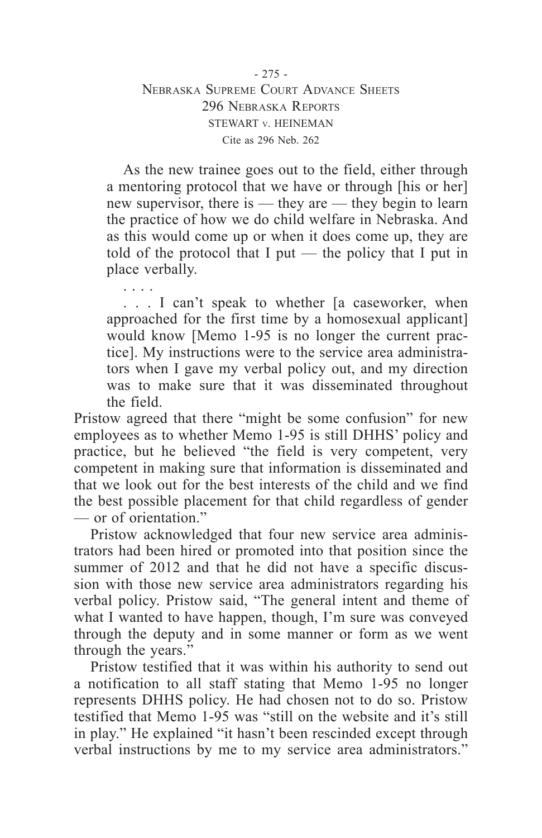As the new trainee goes out to the field, either through a mentoring protocol that we have or through [his or her] new supervisor, there is — they are — they begin to learn the practice of how we do child welfare in Nebraska. And as this would come up or when it does come up, they are told of the protocol that I put — the policy that I put in place verbally.

. . . . . . . I can't speak to whether [a caseworker, when approached for the first time by a homosexual applicant] would know [Memo 1-95 is no longer the current practice]. My instructions were to the service area administrators when I gave my verbal policy out, and my direction was to make sure that it was disseminated throughout the field.

Pristow agreed that there "might be some confusion" for new employees as to whether Memo 1-95 is still DHHS' policy and practice, but he believed "the field is very competent, very competent in making sure that information is disseminated and that we look out for the best interests of the child and we find the best possible placement for that child regardless of gender — or of orientation."

Pristow acknowledged that four new service area administrators had been hired or promoted into that position since the summer of 2012 and that he did not have a specific discussion with those new service area administrators regarding his verbal policy. Pristow said, "The general intent and theme of what I wanted to have happen, though, I'm sure was conveyed through the deputy and in some manner or form as we went through the years."

Pristow testified that it was within his authority to send out a notification to all staff stating that Memo 1-95 no longer represents DHHS policy. He had chosen not to do so. Pristow testified that Memo 1-95 was "still on the website and it's still in play." He explained "it hasn't been rescinded except through verbal instructions by me to my service area administrators."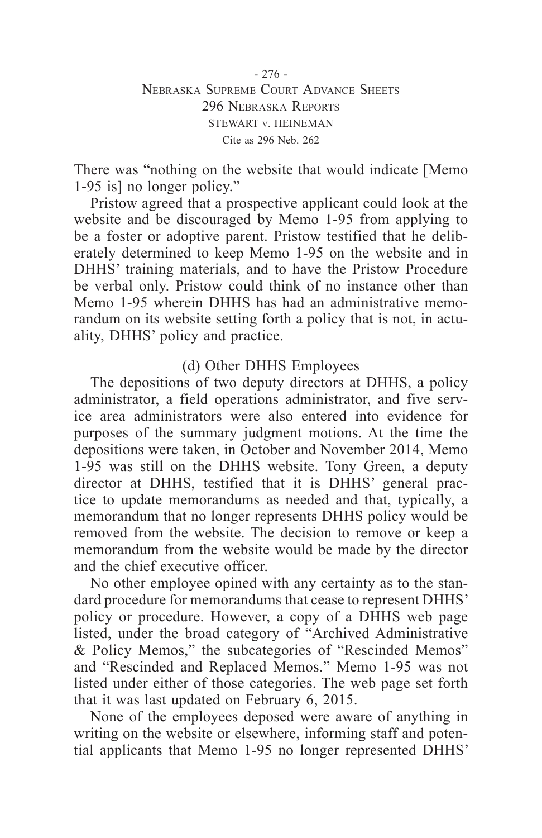There was "nothing on the website that would indicate [Memo 1-95 is] no longer policy."

Pristow agreed that a prospective applicant could look at the website and be discouraged by Memo 1-95 from applying to be a foster or adoptive parent. Pristow testified that he deliberately determined to keep Memo 1-95 on the website and in DHHS' training materials, and to have the Pristow Procedure be verbal only. Pristow could think of no instance other than Memo 1-95 wherein DHHS has had an administrative memorandum on its website setting forth a policy that is not, in actuality, DHHS' policy and practice.

# (d) Other DHHS Employees

The depositions of two deputy directors at DHHS, a policy administrator, a field operations administrator, and five service area administrators were also entered into evidence for purposes of the summary judgment motions. At the time the depositions were taken, in October and November 2014, Memo 1-95 was still on the DHHS website. Tony Green, a deputy director at DHHS, testified that it is DHHS' general practice to update memorandums as needed and that, typically, a memorandum that no longer represents DHHS policy would be removed from the website. The decision to remove or keep a memorandum from the website would be made by the director and the chief executive officer.

No other employee opined with any certainty as to the standard procedure for memorandums that cease to represent DHHS' policy or procedure. However, a copy of a DHHS web page listed, under the broad category of "Archived Administrative & Policy Memos," the subcategories of "Rescinded Memos" and "Rescinded and Replaced Memos." Memo 1-95 was not listed under either of those categories. The web page set forth that it was last updated on February 6, 2015.

None of the employees deposed were aware of anything in writing on the website or elsewhere, informing staff and potential applicants that Memo 1-95 no longer represented DHHS'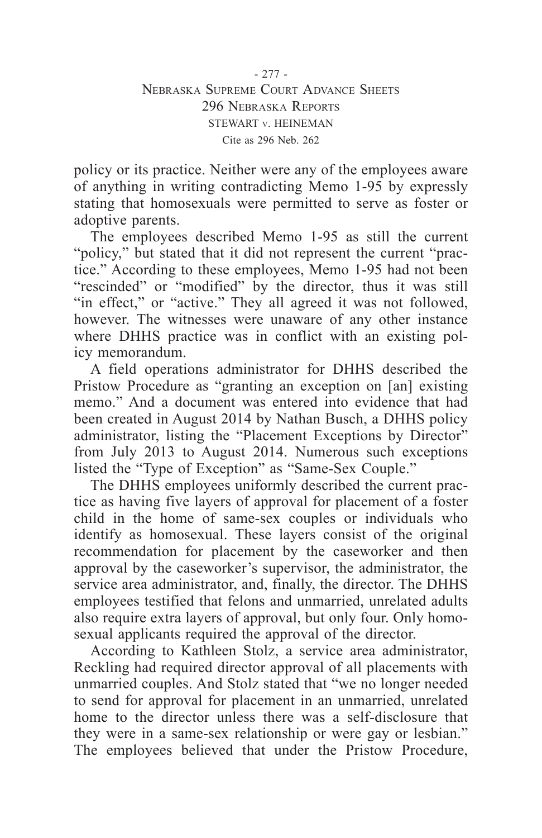policy or its practice. Neither were any of the employees aware of anything in writing contradicting Memo 1-95 by expressly stating that homosexuals were permitted to serve as foster or adoptive parents.

The employees described Memo 1-95 as still the current "policy," but stated that it did not represent the current "practice." According to these employees, Memo 1-95 had not been "rescinded" or "modified" by the director, thus it was still "in effect," or "active." They all agreed it was not followed, however. The witnesses were unaware of any other instance where DHHS practice was in conflict with an existing policy memorandum.

A field operations administrator for DHHS described the Pristow Procedure as "granting an exception on [an] existing memo." And a document was entered into evidence that had been created in August 2014 by Nathan Busch, a DHHS policy administrator, listing the "Placement Exceptions by Director" from July 2013 to August 2014. Numerous such exceptions listed the "Type of Exception" as "Same-Sex Couple."

The DHHS employees uniformly described the current practice as having five layers of approval for placement of a foster child in the home of same-sex couples or individuals who identify as homosexual. These layers consist of the original recommendation for placement by the caseworker and then approval by the caseworker's supervisor, the administrator, the service area administrator, and, finally, the director. The DHHS employees testified that felons and unmarried, unrelated adults also require extra layers of approval, but only four. Only homosexual applicants required the approval of the director.

According to Kathleen Stolz, a service area administrator, Reckling had required director approval of all placements with unmarried couples. And Stolz stated that "we no longer needed to send for approval for placement in an unmarried, unrelated home to the director unless there was a self-disclosure that they were in a same-sex relationship or were gay or lesbian." The employees believed that under the Pristow Procedure,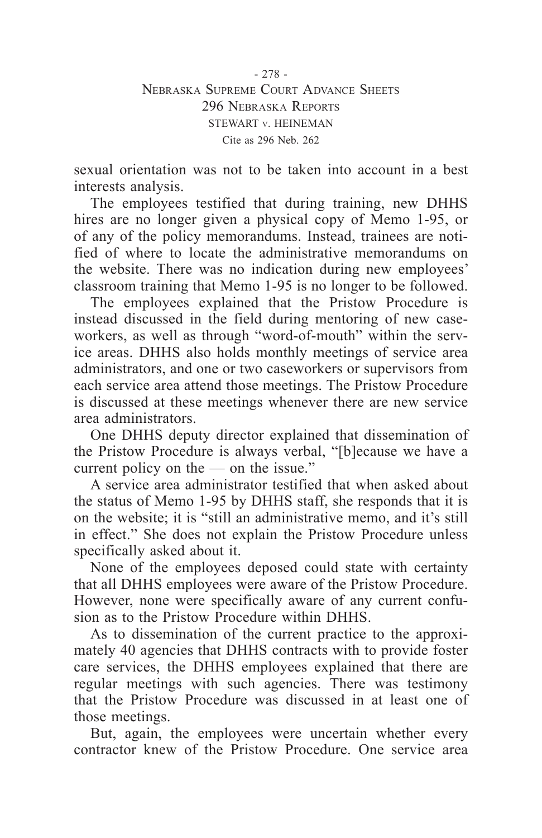- 278 - Nebraska Supreme Court Advance Sheets 296 Nebraska Reports STEWART v. HEINEMAN Cite as 296 Neb. 262

sexual orientation was not to be taken into account in a best interests analysis.

The employees testified that during training, new DHHS hires are no longer given a physical copy of Memo 1-95, or of any of the policy memorandums. Instead, trainees are notified of where to locate the administrative memorandums on the website. There was no indication during new employees' classroom training that Memo 1-95 is no longer to be followed.

The employees explained that the Pristow Procedure is instead discussed in the field during mentoring of new caseworkers, as well as through "word-of-mouth" within the service areas. DHHS also holds monthly meetings of service area administrators, and one or two caseworkers or supervisors from each service area attend those meetings. The Pristow Procedure is discussed at these meetings whenever there are new service area administrators.

One DHHS deputy director explained that dissemination of the Pristow Procedure is always verbal, "[b]ecause we have a current policy on the — on the issue."

A service area administrator testified that when asked about the status of Memo 1-95 by DHHS staff, she responds that it is on the website; it is "still an administrative memo, and it's still in effect." She does not explain the Pristow Procedure unless specifically asked about it.

None of the employees deposed could state with certainty that all DHHS employees were aware of the Pristow Procedure. However, none were specifically aware of any current confusion as to the Pristow Procedure within DHHS.

As to dissemination of the current practice to the approximately 40 agencies that DHHS contracts with to provide foster care services, the DHHS employees explained that there are regular meetings with such agencies. There was testimony that the Pristow Procedure was discussed in at least one of those meetings.

But, again, the employees were uncertain whether every contractor knew of the Pristow Procedure. One service area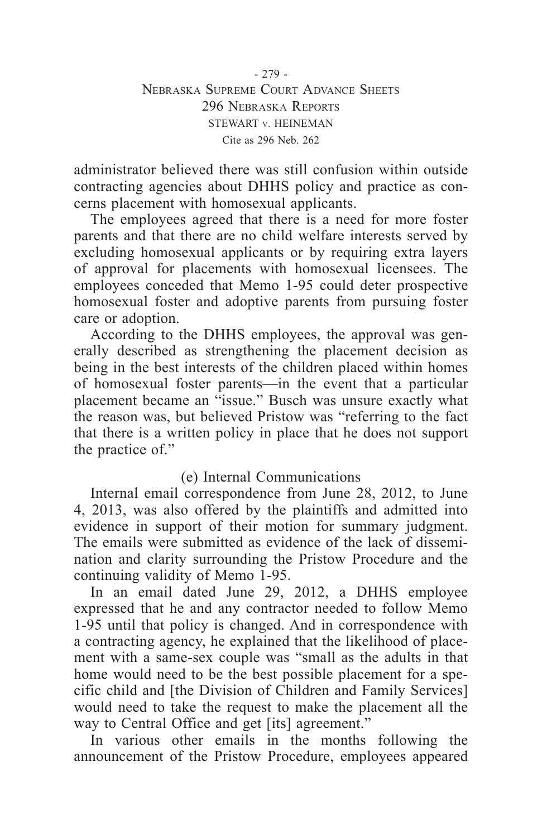- 279 - Nebraska Supreme Court Advance Sheets 296 Nebraska Reports STEWART v. HEINEMAN Cite as 296 Neb. 262

administrator believed there was still confusion within outside contracting agencies about DHHS policy and practice as concerns placement with homosexual applicants.

The employees agreed that there is a need for more foster parents and that there are no child welfare interests served by excluding homosexual applicants or by requiring extra layers of approval for placements with homosexual licensees. The employees conceded that Memo 1-95 could deter prospective homosexual foster and adoptive parents from pursuing foster care or adoption.

According to the DHHS employees, the approval was generally described as strengthening the placement decision as being in the best interests of the children placed within homes of homosexual foster parents—in the event that a particular placement became an "issue." Busch was unsure exactly what the reason was, but believed Pristow was "referring to the fact that there is a written policy in place that he does not support the practice of."

## (e) Internal Communications

Internal email correspondence from June 28, 2012, to June 4, 2013, was also offered by the plaintiffs and admitted into evidence in support of their motion for summary judgment. The emails were submitted as evidence of the lack of dissemination and clarity surrounding the Pristow Procedure and the continuing validity of Memo 1-95.

In an email dated June 29, 2012, a DHHS employee expressed that he and any contractor needed to follow Memo 1-95 until that policy is changed. And in correspondence with a contracting agency, he explained that the likelihood of placement with a same-sex couple was "small as the adults in that home would need to be the best possible placement for a specific child and [the Division of Children and Family Services] would need to take the request to make the placement all the way to Central Office and get [its] agreement."

In various other emails in the months following the announcement of the Pristow Procedure, employees appeared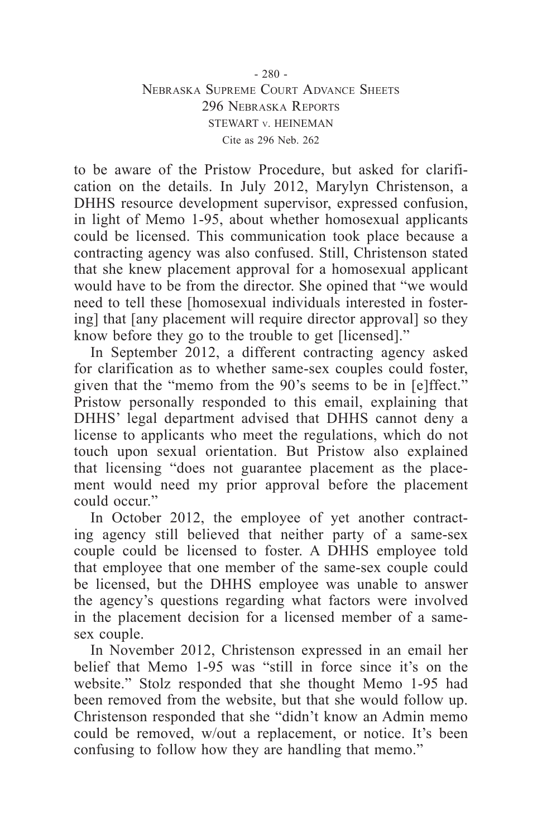## - 280 - Nebraska Supreme Court Advance Sheets 296 Nebraska Reports STEWART v. HEINEMAN Cite as 296 Neb. 262

to be aware of the Pristow Procedure, but asked for clarification on the details. In July 2012, Marylyn Christenson, a DHHS resource development supervisor, expressed confusion, in light of Memo 1-95, about whether homosexual applicants could be licensed. This communication took place because a contracting agency was also confused. Still, Christenson stated that she knew placement approval for a homosexual applicant would have to be from the director. She opined that "we would need to tell these [homosexual individuals interested in fostering] that [any placement will require director approval] so they know before they go to the trouble to get [licensed]."

In September 2012, a different contracting agency asked for clarification as to whether same-sex couples could foster, given that the "memo from the 90's seems to be in [e]ffect." Pristow personally responded to this email, explaining that DHHS' legal department advised that DHHS cannot deny a license to applicants who meet the regulations, which do not touch upon sexual orientation. But Pristow also explained that licensing "does not guarantee placement as the placement would need my prior approval before the placement could occur."

In October 2012, the employee of yet another contracting agency still believed that neither party of a same-sex couple could be licensed to foster. A DHHS employee told that employee that one member of the same-sex couple could be licensed, but the DHHS employee was unable to answer the agency's questions regarding what factors were involved in the placement decision for a licensed member of a samesex couple.

In November 2012, Christenson expressed in an email her belief that Memo 1-95 was "still in force since it's on the website." Stolz responded that she thought Memo 1-95 had been removed from the website, but that she would follow up. Christenson responded that she "didn't know an Admin memo could be removed, w/out a replacement, or notice. It's been confusing to follow how they are handling that memo."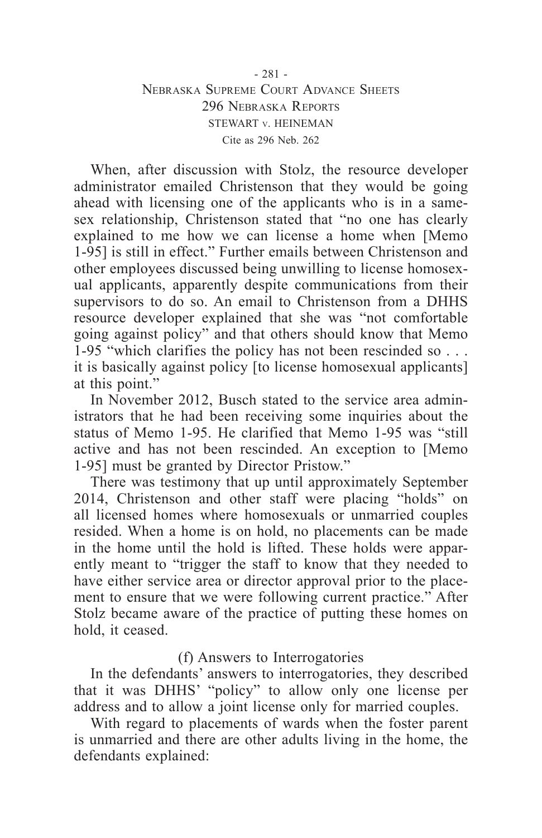## - 281 - Nebraska Supreme Court Advance Sheets 296 Nebraska Reports STEWART v. HEINEMAN Cite as 296 Neb. 262

When, after discussion with Stolz, the resource developer administrator emailed Christenson that they would be going ahead with licensing one of the applicants who is in a samesex relationship, Christenson stated that "no one has clearly explained to me how we can license a home when [Memo 1-95] is still in effect." Further emails between Christenson and other employees discussed being unwilling to license homosexual applicants, apparently despite communications from their supervisors to do so. An email to Christenson from a DHHS resource developer explained that she was "not comfortable going against policy" and that others should know that Memo 1-95 "which clarifies the policy has not been rescinded so . . . it is basically against policy [to license homosexual applicants] at this point."

In November 2012, Busch stated to the service area administrators that he had been receiving some inquiries about the status of Memo 1-95. He clarified that Memo 1-95 was "still active and has not been rescinded. An exception to [Memo 1-95] must be granted by Director Pristow."

There was testimony that up until approximately September 2014, Christenson and other staff were placing "holds" on all licensed homes where homosexuals or unmarried couples resided. When a home is on hold, no placements can be made in the home until the hold is lifted. These holds were apparently meant to "trigger the staff to know that they needed to have either service area or director approval prior to the placement to ensure that we were following current practice." After Stolz became aware of the practice of putting these homes on hold, it ceased.

## (f) Answers to Interrogatories

In the defendants' answers to interrogatories, they described that it was DHHS' "policy" to allow only one license per address and to allow a joint license only for married couples.

With regard to placements of wards when the foster parent is unmarried and there are other adults living in the home, the defendants explained: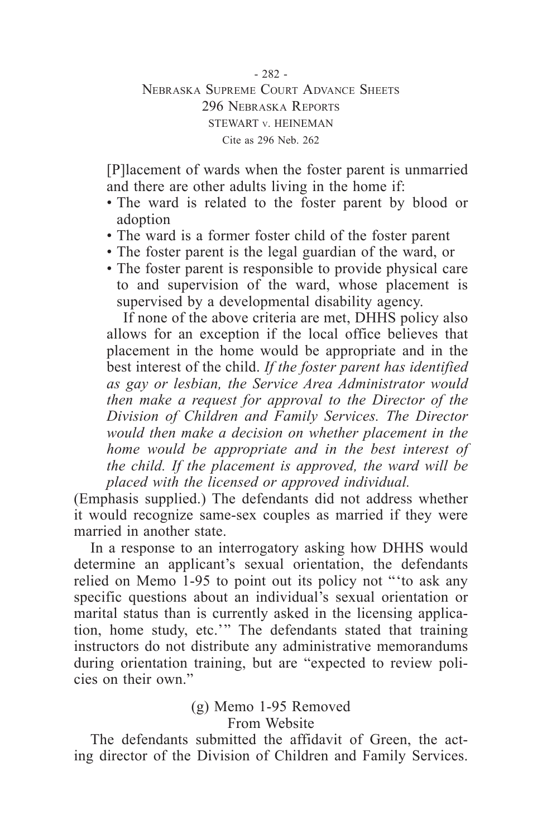## - 282 - Nebraska Supreme Court Advance Sheets 296 Nebraska Reports STEWART v. HEINEMAN Cite as 296 Neb. 262

[P]lacement of wards when the foster parent is unmarried and there are other adults living in the home if:

- The ward is related to the foster parent by blood or adoption
- • The ward is a former foster child of the foster parent
- • The foster parent is the legal guardian of the ward, or
- • The foster parent is responsible to provide physical care to and supervision of the ward, whose placement is supervised by a developmental disability agency.

If none of the above criteria are met, DHHS policy also allows for an exception if the local office believes that placement in the home would be appropriate and in the best interest of the child. *If the foster parent has identified as gay or lesbian, the Service Area Administrator would then make a request for approval to the Director of the Division of Children and Family Services. The Director would then make a decision on whether placement in the home would be appropriate and in the best interest of the child. If the placement is approved, the ward will be placed with the licensed or approved individual.*

(Emphasis supplied.) The defendants did not address whether it would recognize same-sex couples as married if they were married in another state.

In a response to an interrogatory asking how DHHS would determine an applicant's sexual orientation, the defendants relied on Memo 1-95 to point out its policy not "'to ask any specific questions about an individual's sexual orientation or marital status than is currently asked in the licensing application, home study, etc.'" The defendants stated that training instructors do not distribute any administrative memorandums during orientation training, but are "expected to review policies on their own."

# (g) Memo 1-95 Removed From Website

The defendants submitted the affidavit of Green, the acting director of the Division of Children and Family Services.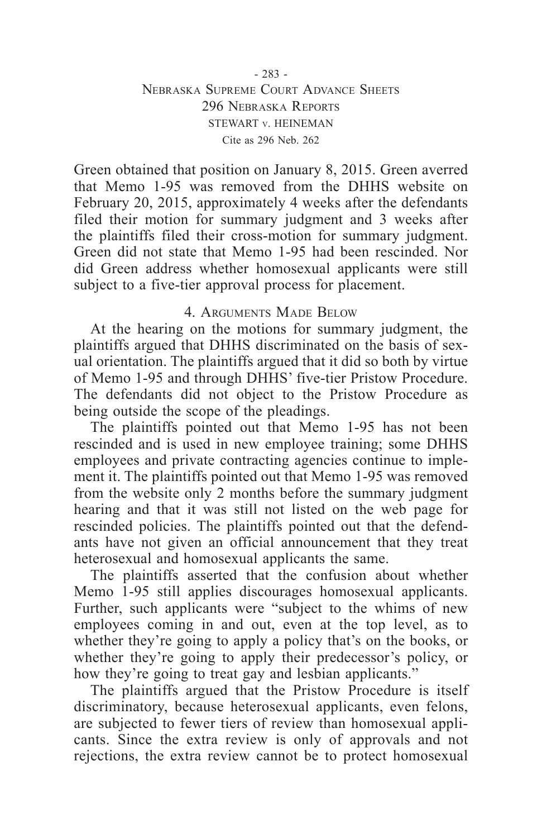Green obtained that position on January 8, 2015. Green averred that Memo 1-95 was removed from the DHHS website on February 20, 2015, approximately 4 weeks after the defendants filed their motion for summary judgment and 3 weeks after the plaintiffs filed their cross-motion for summary judgment. Green did not state that Memo 1-95 had been rescinded. Nor did Green address whether homosexual applicants were still subject to a five-tier approval process for placement.

## 4. Arguments Made Below

At the hearing on the motions for summary judgment, the plaintiffs argued that DHHS discriminated on the basis of sexual orientation. The plaintiffs argued that it did so both by virtue of Memo 1-95 and through DHHS' five-tier Pristow Procedure. The defendants did not object to the Pristow Procedure as being outside the scope of the pleadings.

The plaintiffs pointed out that Memo 1-95 has not been rescinded and is used in new employee training; some DHHS employees and private contracting agencies continue to implement it. The plaintiffs pointed out that Memo 1-95 was removed from the website only 2 months before the summary judgment hearing and that it was still not listed on the web page for rescinded policies. The plaintiffs pointed out that the defendants have not given an official announcement that they treat heterosexual and homosexual applicants the same.

The plaintiffs asserted that the confusion about whether Memo 1-95 still applies discourages homosexual applicants. Further, such applicants were "subject to the whims of new employees coming in and out, even at the top level, as to whether they're going to apply a policy that's on the books, or whether they're going to apply their predecessor's policy, or how they're going to treat gay and lesbian applicants."

The plaintiffs argued that the Pristow Procedure is itself discriminatory, because heterosexual applicants, even felons, are subjected to fewer tiers of review than homosexual applicants. Since the extra review is only of approvals and not rejections, the extra review cannot be to protect homosexual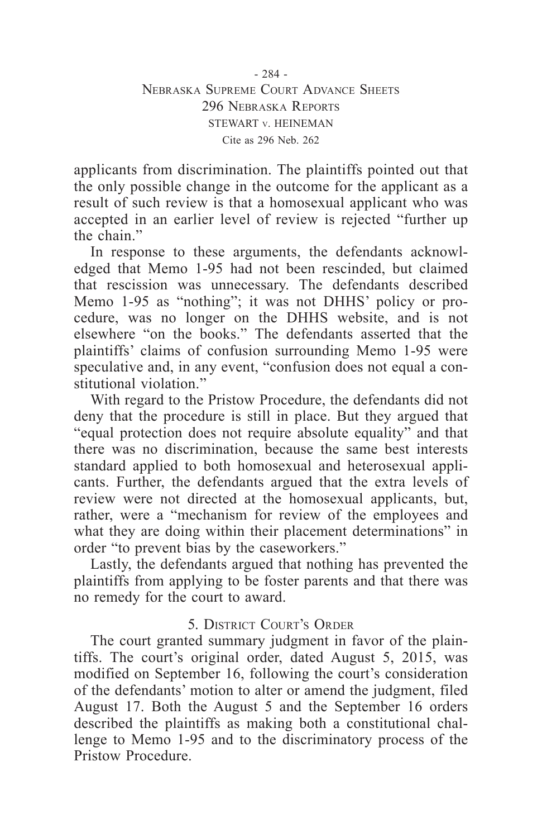applicants from discrimination. The plaintiffs pointed out that the only possible change in the outcome for the applicant as a result of such review is that a homosexual applicant who was accepted in an earlier level of review is rejected "further up the chain"

In response to these arguments, the defendants acknowledged that Memo 1-95 had not been rescinded, but claimed that rescission was unnecessary. The defendants described Memo 1-95 as "nothing"; it was not DHHS' policy or procedure, was no longer on the DHHS website, and is not elsewhere "on the books." The defendants asserted that the plaintiffs' claims of confusion surrounding Memo 1-95 were speculative and, in any event, "confusion does not equal a constitutional violation."

With regard to the Pristow Procedure, the defendants did not deny that the procedure is still in place. But they argued that "equal protection does not require absolute equality" and that there was no discrimination, because the same best interests standard applied to both homosexual and heterosexual applicants. Further, the defendants argued that the extra levels of review were not directed at the homosexual applicants, but, rather, were a "mechanism for review of the employees and what they are doing within their placement determinations" in order "to prevent bias by the caseworkers."

Lastly, the defendants argued that nothing has prevented the plaintiffs from applying to be foster parents and that there was no remedy for the court to award.

# 5. District Court's Order

The court granted summary judgment in favor of the plaintiffs. The court's original order, dated August 5, 2015, was modified on September 16, following the court's consideration of the defendants' motion to alter or amend the judgment, filed August 17. Both the August 5 and the September 16 orders described the plaintiffs as making both a constitutional challenge to Memo 1-95 and to the discriminatory process of the Pristow Procedure.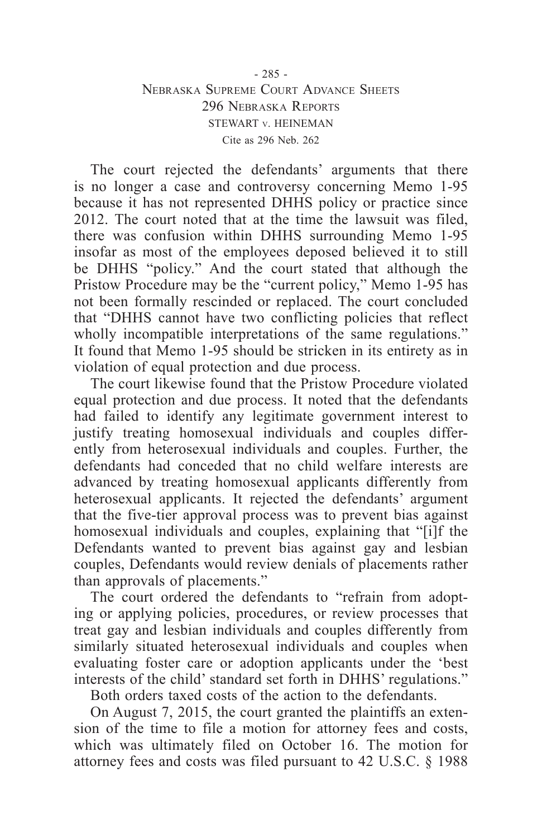## - 285 - Nebraska Supreme Court Advance Sheets 296 Nebraska Reports STEWART v. HEINEMAN Cite as 296 Neb. 262

The court rejected the defendants' arguments that there is no longer a case and controversy concerning Memo 1-95 because it has not represented DHHS policy or practice since 2012. The court noted that at the time the lawsuit was filed, there was confusion within DHHS surrounding Memo 1-95 insofar as most of the employees deposed believed it to still be DHHS "policy." And the court stated that although the Pristow Procedure may be the "current policy," Memo 1-95 has not been formally rescinded or replaced. The court concluded that "DHHS cannot have two conflicting policies that reflect wholly incompatible interpretations of the same regulations." It found that Memo 1-95 should be stricken in its entirety as in violation of equal protection and due process.

The court likewise found that the Pristow Procedure violated equal protection and due process. It noted that the defendants had failed to identify any legitimate government interest to justify treating homosexual individuals and couples differently from heterosexual individuals and couples. Further, the defendants had conceded that no child welfare interests are advanced by treating homosexual applicants differently from heterosexual applicants. It rejected the defendants' argument that the five-tier approval process was to prevent bias against homosexual individuals and couples, explaining that "[i]f the Defendants wanted to prevent bias against gay and lesbian couples, Defendants would review denials of placements rather than approvals of placements."

The court ordered the defendants to "refrain from adopting or applying policies, procedures, or review processes that treat gay and lesbian individuals and couples differently from similarly situated heterosexual individuals and couples when evaluating foster care or adoption applicants under the 'best interests of the child' standard set forth in DHHS' regulations."

Both orders taxed costs of the action to the defendants.

On August 7, 2015, the court granted the plaintiffs an extension of the time to file a motion for attorney fees and costs, which was ultimately filed on October 16. The motion for attorney fees and costs was filed pursuant to 42 U.S.C. § 1988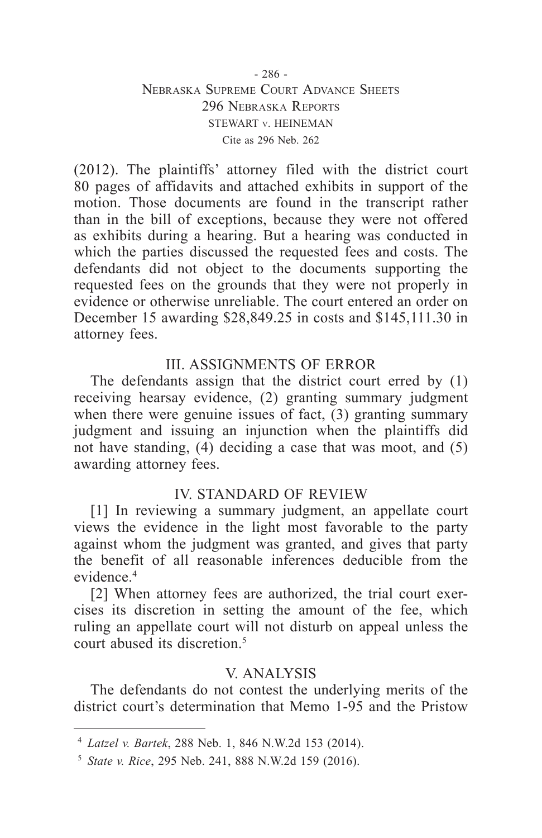## - 286 - Nebraska Supreme Court Advance Sheets 296 Nebraska Reports STEWART v. HEINEMAN Cite as 296 Neb. 262

(2012). The plaintiffs' attorney filed with the district court 80 pages of affidavits and attached exhibits in support of the motion. Those documents are found in the transcript rather than in the bill of exceptions, because they were not offered as exhibits during a hearing. But a hearing was conducted in which the parties discussed the requested fees and costs. The defendants did not object to the documents supporting the requested fees on the grounds that they were not properly in evidence or otherwise unreliable. The court entered an order on December 15 awarding \$28,849.25 in costs and \$145,111.30 in attorney fees.

# III. ASSIGNMENTS OF ERROR

The defendants assign that the district court erred by (1) receiving hearsay evidence, (2) granting summary judgment when there were genuine issues of fact,  $(3)$  granting summary judgment and issuing an injunction when the plaintiffs did not have standing, (4) deciding a case that was moot, and (5) awarding attorney fees.

## IV. STANDARD OF REVIEW

[1] In reviewing a summary judgment, an appellate court views the evidence in the light most favorable to the party against whom the judgment was granted, and gives that party the benefit of all reasonable inferences deducible from the evidence.4

[2] When attorney fees are authorized, the trial court exercises its discretion in setting the amount of the fee, which ruling an appellate court will not disturb on appeal unless the court abused its discretion. $5$ 

## V. ANALYSIS

The defendants do not contest the underlying merits of the district court's determination that Memo 1-95 and the Pristow

<sup>4</sup> *Latzel v. Bartek*, 288 Neb. 1, 846 N.W.2d 153 (2014).

<sup>5</sup> *State v. Rice*, 295 Neb. 241, 888 N.W.2d 159 (2016).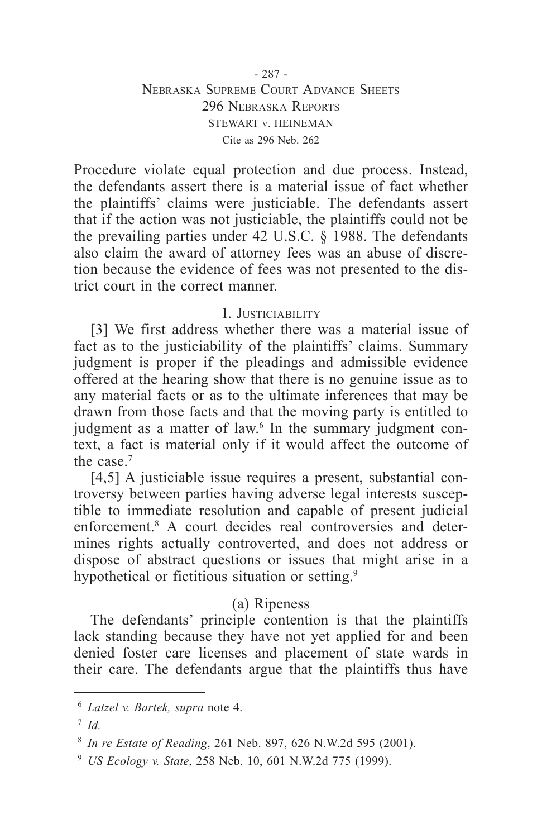Procedure violate equal protection and due process. Instead, the defendants assert there is a material issue of fact whether the plaintiffs' claims were justiciable. The defendants assert that if the action was not justiciable, the plaintiffs could not be the prevailing parties under 42 U.S.C. § 1988. The defendants also claim the award of attorney fees was an abuse of discretion because the evidence of fees was not presented to the district court in the correct manner.

## 1. Justiciability

[3] We first address whether there was a material issue of fact as to the justiciability of the plaintiffs' claims. Summary judgment is proper if the pleadings and admissible evidence offered at the hearing show that there is no genuine issue as to any material facts or as to the ultimate inferences that may be drawn from those facts and that the moving party is entitled to judgment as a matter of law.<sup>6</sup> In the summary judgment context, a fact is material only if it would affect the outcome of the case  $<sup>7</sup>$ </sup>

[4,5] A justiciable issue requires a present, substantial controversy between parties having adverse legal interests susceptible to immediate resolution and capable of present judicial enforcement.8 A court decides real controversies and determines rights actually controverted, and does not address or dispose of abstract questions or issues that might arise in a hypothetical or fictitious situation or setting.<sup>9</sup>

## (a) Ripeness

The defendants' principle contention is that the plaintiffs lack standing because they have not yet applied for and been denied foster care licenses and placement of state wards in their care. The defendants argue that the plaintiffs thus have

<sup>6</sup> *Latzel v. Bartek, supra* note 4.

<sup>7</sup> *Id.*

<sup>8</sup> *In re Estate of Reading*, 261 Neb. 897, 626 N.W.2d 595 (2001).

<sup>9</sup> *US Ecology v. State*, 258 Neb. 10, 601 N.W.2d 775 (1999).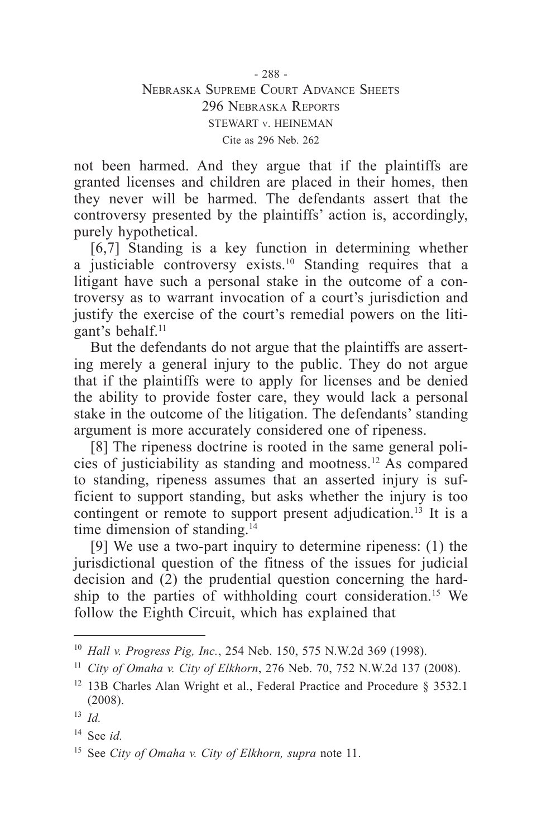not been harmed. And they argue that if the plaintiffs are granted licenses and children are placed in their homes, then they never will be harmed. The defendants assert that the controversy presented by the plaintiffs' action is, accordingly, purely hypothetical.

[6,7] Standing is a key function in determining whether a justiciable controversy exists.<sup>10</sup> Standing requires that a litigant have such a personal stake in the outcome of a controversy as to warrant invocation of a court's jurisdiction and justify the exercise of the court's remedial powers on the litigant's behalf.<sup>11</sup>

But the defendants do not argue that the plaintiffs are asserting merely a general injury to the public. They do not argue that if the plaintiffs were to apply for licenses and be denied the ability to provide foster care, they would lack a personal stake in the outcome of the litigation. The defendants' standing argument is more accurately considered one of ripeness.

[8] The ripeness doctrine is rooted in the same general policies of justiciability as standing and mootness.12 As compared to standing, ripeness assumes that an asserted injury is sufficient to support standing, but asks whether the injury is too contingent or remote to support present adjudication.<sup>13</sup> It is a time dimension of standing.<sup>14</sup>

[9] We use a two-part inquiry to determine ripeness: (1) the jurisdictional question of the fitness of the issues for judicial decision and (2) the prudential question concerning the hardship to the parties of withholding court consideration.<sup>15</sup> We follow the Eighth Circuit, which has explained that

<sup>10</sup> *Hall v. Progress Pig, Inc.*, 254 Neb. 150, 575 N.W.2d 369 (1998).

<sup>11</sup> *City of Omaha v. City of Elkhorn*, 276 Neb. 70, 752 N.W.2d 137 (2008).

<sup>&</sup>lt;sup>12</sup> 13B Charles Alan Wright et al., Federal Practice and Procedure § 3532.1 (2008).

<sup>13</sup> *Id.*

<sup>14</sup> See *id.*

<sup>15</sup> See *City of Omaha v. City of Elkhorn, supra* note 11.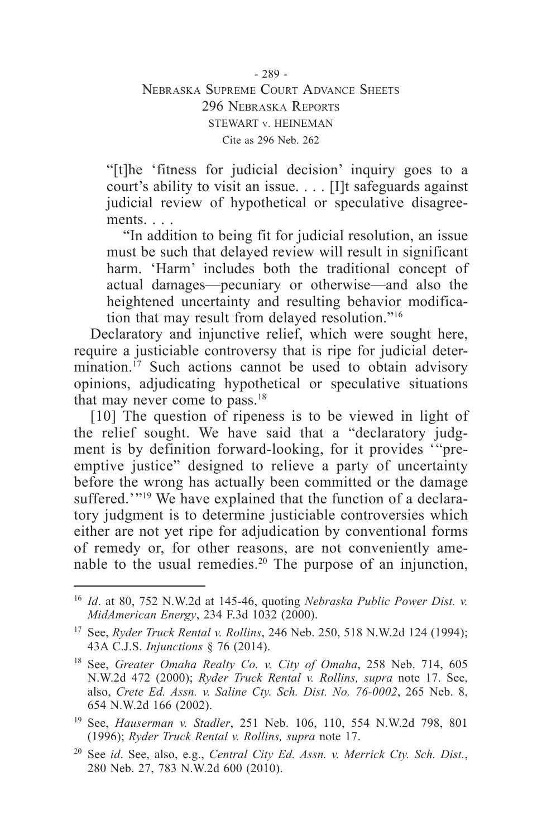"[t]he 'fitness for judicial decision' inquiry goes to a court's ability to visit an issue. . . . [I]t safeguards against judicial review of hypothetical or speculative disagreements. . . .

"In addition to being fit for judicial resolution, an issue must be such that delayed review will result in significant harm. 'Harm' includes both the traditional concept of actual damages—pecuniary or otherwise—and also the heightened uncertainty and resulting behavior modification that may result from delayed resolution."16

Declaratory and injunctive relief, which were sought here, require a justiciable controversy that is ripe for judicial determination.<sup>17</sup> Such actions cannot be used to obtain advisory opinions, adjudicating hypothetical or speculative situations that may never come to pass.<sup>18</sup>

[10] The question of ripeness is to be viewed in light of the relief sought. We have said that a "declaratory judgment is by definition forward-looking, for it provides '"preemptive justice" designed to relieve a party of uncertainty before the wrong has actually been committed or the damage suffered.'"<sup>19</sup> We have explained that the function of a declaratory judgment is to determine justiciable controversies which either are not yet ripe for adjudication by conventional forms of remedy or, for other reasons, are not conveniently amenable to the usual remedies.20 The purpose of an injunction,

<sup>16</sup> *Id*. at 80, 752 N.W.2d at 145-46, quoting *Nebraska Public Power Dist. v. MidAmerican Energy*, 234 F.3d 1032 (2000).

<sup>17</sup> See, *Ryder Truck Rental v. Rollins*, 246 Neb. 250, 518 N.W.2d 124 (1994); 43A C.J.S. *Injunctions* § 76 (2014).

<sup>18</sup> See, *Greater Omaha Realty Co. v. City of Omaha*, 258 Neb. 714, 605 N.W.2d 472 (2000); *Ryder Truck Rental v. Rollins, supra* note 17. See, also, *Crete Ed. Assn. v. Saline Cty. Sch. Dist. No. 76-0002*, 265 Neb. 8, 654 N.W.2d 166 (2002).

<sup>19</sup> See, *Hauserman v. Stadler*, 251 Neb. 106, 110, 554 N.W.2d 798, 801 (1996); *Ryder Truck Rental v. Rollins, supra* note 17.

<sup>20</sup> See *id*. See, also, e.g., *Central City Ed. Assn. v. Merrick Cty. Sch. Dist.*, 280 Neb. 27, 783 N.W.2d 600 (2010).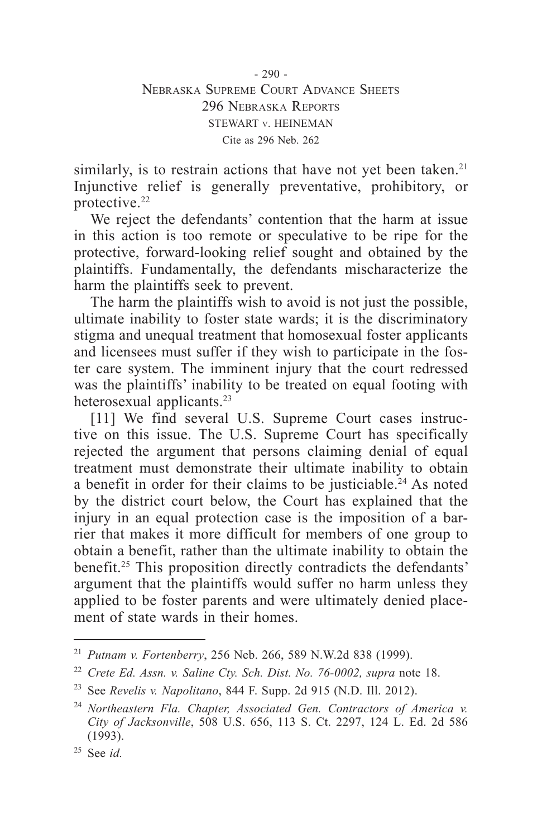similarly, is to restrain actions that have not yet been taken.<sup>21</sup> Injunctive relief is generally preventative, prohibitory, or protective.22

We reject the defendants' contention that the harm at issue in this action is too remote or speculative to be ripe for the protective, forward-looking relief sought and obtained by the plaintiffs. Fundamentally, the defendants mischaracterize the harm the plaintiffs seek to prevent.

The harm the plaintiffs wish to avoid is not just the possible, ultimate inability to foster state wards; it is the discriminatory stigma and unequal treatment that homosexual foster applicants and licensees must suffer if they wish to participate in the foster care system. The imminent injury that the court redressed was the plaintiffs' inability to be treated on equal footing with heterosexual applicants.<sup>23</sup>

[11] We find several U.S. Supreme Court cases instructive on this issue. The U.S. Supreme Court has specifically rejected the argument that persons claiming denial of equal treatment must demonstrate their ultimate inability to obtain a benefit in order for their claims to be justiciable.<sup>24</sup> As noted by the district court below, the Court has explained that the injury in an equal protection case is the imposition of a barrier that makes it more difficult for members of one group to obtain a benefit, rather than the ultimate inability to obtain the benefit.25 This proposition directly contradicts the defendants' argument that the plaintiffs would suffer no harm unless they applied to be foster parents and were ultimately denied placement of state wards in their homes.

<sup>21</sup> *Putnam v. Fortenberry*, 256 Neb. 266, 589 N.W.2d 838 (1999).

<sup>22</sup> *Crete Ed. Assn. v. Saline Cty. Sch. Dist. No. 76-0002, supra* note 18.

<sup>23</sup> See *Revelis v. Napolitano*, 844 F. Supp. 2d 915 (N.D. Ill. 2012).

<sup>24</sup> *Northeastern Fla. Chapter, Associated Gen. Contractors of America v. City of Jacksonville*, 508 U.S. 656, 113 S. Ct. 2297, 124 L. Ed. 2d 586 (1993).

<sup>25</sup> See *id.*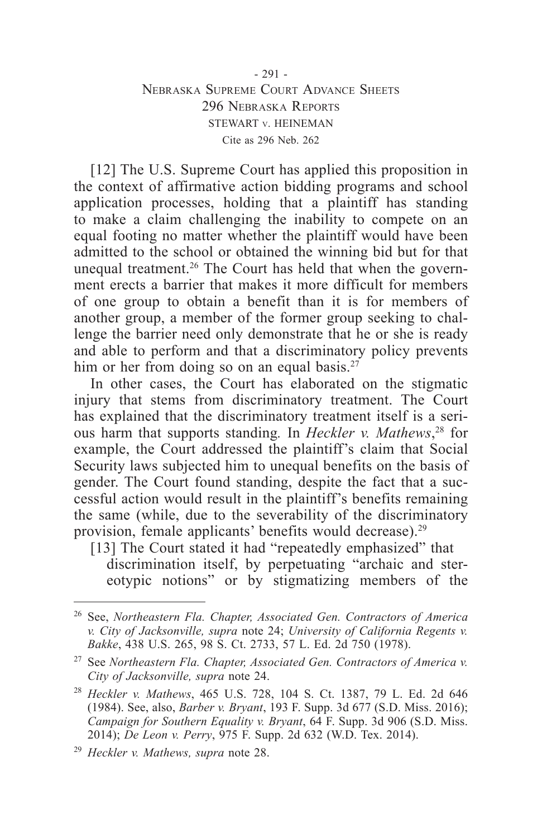## - 291 - Nebraska Supreme Court Advance Sheets 296 Nebraska Reports STEWART v. HEINEMAN Cite as 296 Neb. 262

[12] The U.S. Supreme Court has applied this proposition in the context of affirmative action bidding programs and school application processes, holding that a plaintiff has standing to make a claim challenging the inability to compete on an equal footing no matter whether the plaintiff would have been admitted to the school or obtained the winning bid but for that unequal treatment.<sup>26</sup> The Court has held that when the government erects a barrier that makes it more difficult for members of one group to obtain a benefit than it is for members of another group, a member of the former group seeking to challenge the barrier need only demonstrate that he or she is ready and able to perform and that a discriminatory policy prevents him or her from doing so on an equal basis.<sup>27</sup>

In other cases, the Court has elaborated on the stigmatic injury that stems from discriminatory treatment. The Court has explained that the discriminatory treatment itself is a serious harm that supports standing*.* In *Heckler v. Mathews*, 28 for example, the Court addressed the plaintiff's claim that Social Security laws subjected him to unequal benefits on the basis of gender. The Court found standing, despite the fact that a successful action would result in the plaintiff's benefits remaining the same (while, due to the severability of the discriminatory provision, female applicants' benefits would decrease).<sup>29</sup>

[13] The Court stated it had "repeatedly emphasized" that discrimination itself, by perpetuating "archaic and stereotypic notions" or by stigmatizing members of the

<sup>26</sup> See, *Northeastern Fla. Chapter, Associated Gen. Contractors of America v. City of Jacksonville, supra* note 24; *University of California Regents v. Bakke*, 438 U.S. 265, 98 S. Ct. 2733, 57 L. Ed. 2d 750 (1978).

<sup>27</sup> See *Northeastern Fla. Chapter, Associated Gen. Contractors of America v. City of Jacksonville, supra* note 24.

<sup>28</sup> *Heckler v. Mathews*, 465 U.S. 728, 104 S. Ct. 1387, 79 L. Ed. 2d 646 (1984). See, also, *Barber v. Bryant*, 193 F. Supp. 3d 677 (S.D. Miss. 2016); *Campaign for Southern Equality v. Bryant*, 64 F. Supp. 3d 906 (S.D. Miss. 2014); *De Leon v. Perry*, 975 F. Supp. 2d 632 (W.D. Tex. 2014).

<sup>29</sup> *Heckler v. Mathews, supra* note 28.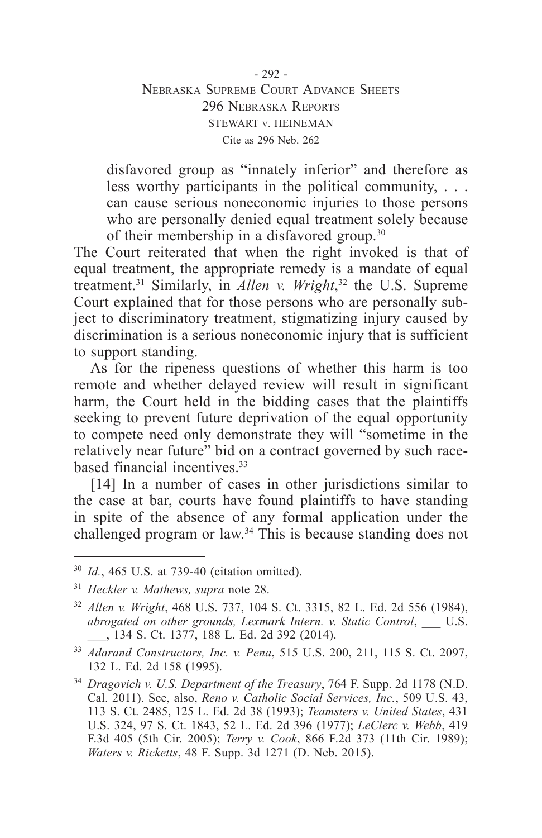### - 292 - Nebraska Supreme Court Advance Sheets 296 Nebraska Reports STEWART v. HEINEMAN Cite as 296 Neb. 262

disfavored group as "innately inferior" and therefore as less worthy participants in the political community, . . . can cause serious noneconomic injuries to those persons who are personally denied equal treatment solely because of their membership in a disfavored group.30

The Court reiterated that when the right invoked is that of equal treatment, the appropriate remedy is a mandate of equal treatment.31 Similarly, in *Allen v. Wright*, <sup>32</sup> the U.S. Supreme Court explained that for those persons who are personally subject to discriminatory treatment, stigmatizing injury caused by discrimination is a serious noneconomic injury that is sufficient to support standing.

As for the ripeness questions of whether this harm is too remote and whether delayed review will result in significant harm, the Court held in the bidding cases that the plaintiffs seeking to prevent future deprivation of the equal opportunity to compete need only demonstrate they will "sometime in the relatively near future" bid on a contract governed by such racebased financial incentives<sup>33</sup>

[14] In a number of cases in other jurisdictions similar to the case at bar, courts have found plaintiffs to have standing in spite of the absence of any formal application under the challenged program or law.34 This is because standing does not

<sup>30</sup> *Id.*, 465 U.S. at 739-40 (citation omitted).

<sup>31</sup> *Heckler v. Mathews, supra* note 28.

<sup>32</sup> *Allen v. Wright*, 468 U.S. 737, 104 S. Ct. 3315, 82 L. Ed. 2d 556 (1984), *abrogated on other grounds, Lexmark Intern. v. Static Control*, \_\_\_ U.S. \_\_\_, 134 S. Ct. 1377, 188 L. Ed. 2d 392 (2014).

<sup>33</sup> *Adarand Constructors, Inc. v. Pena*, 515 U.S. 200, 211, 115 S. Ct. 2097, 132 L. Ed. 2d 158 (1995).

<sup>34</sup> *Dragovich v. U.S. Department of the Treasury*, 764 F. Supp. 2d 1178 (N.D. Cal. 2011). See, also, *Reno v. Catholic Social Services, Inc.*, 509 U.S. 43, 113 S. Ct. 2485, 125 L. Ed. 2d 38 (1993); *Teamsters v. United States*, 431 U.S. 324, 97 S. Ct. 1843, 52 L. Ed. 2d 396 (1977); *LeClerc v. Webb*, 419 F.3d 405 (5th Cir. 2005); *Terry v. Cook*, 866 F.2d 373 (11th Cir. 1989); *Waters v. Ricketts*, 48 F. Supp. 3d 1271 (D. Neb. 2015).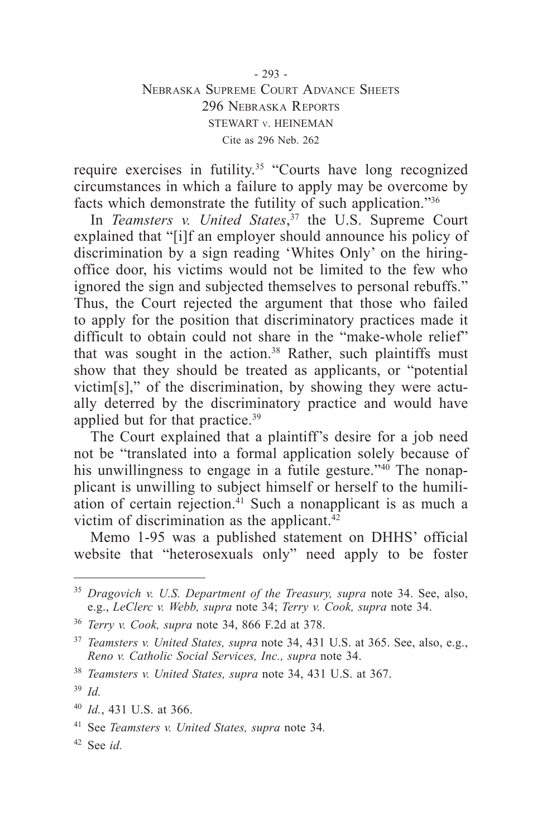- 293 - Nebraska Supreme Court Advance Sheets 296 Nebraska Reports STEWART v. HEINEMAN Cite as 296 Neb. 262

require exercises in futility.<sup>35</sup> "Courts have long recognized circumstances in which a failure to apply may be overcome by facts which demonstrate the futility of such application."36

In *Teamsters v. United States*, 37 the U.S. Supreme Court explained that "[i]f an employer should announce his policy of discrimination by a sign reading 'Whites Only' on the hiringoffice door, his victims would not be limited to the few who ignored the sign and subjected themselves to personal rebuffs." Thus, the Court rejected the argument that those who failed to apply for the position that discriminatory practices made it difficult to obtain could not share in the "make-whole relief" that was sought in the action.<sup>38</sup> Rather, such plaintiffs must show that they should be treated as applicants, or "potential victim[s]," of the discrimination, by showing they were actually deterred by the discriminatory practice and would have applied but for that practice.<sup>39</sup>

The Court explained that a plaintiff's desire for a job need not be "translated into a formal application solely because of his unwillingness to engage in a futile gesture."<sup>40</sup> The nonapplicant is unwilling to subject himself or herself to the humiliation of certain rejection. $41$  Such a nonapplicant is as much a victim of discrimination as the applicant. $42$ 

Memo 1-95 was a published statement on DHHS' official website that "heterosexuals only" need apply to be foster

<sup>35</sup> *Dragovich v. U.S. Department of the Treasury, supra* note 34. See, also, e.g., *LeClerc v. Webb, supra* note 34; *Terry v. Cook, supra* note 34.

<sup>36</sup> *Terry v. Cook, supra* note 34, 866 F.2d at 378.

<sup>37</sup> *Teamsters v. United States, supra* note 34, 431 U.S. at 365. See, also, e.g., *Reno v. Catholic Social Services, Inc., supra* note 34.

<sup>38</sup> *Teamsters v. United States, supra* note 34, 431 U.S. at 367.

<sup>39</sup> *Id.*

<sup>40</sup> *Id.*, 431 U.S. at 366.

<sup>41</sup> See *Teamsters v. United States, supra* note 34*.*

<sup>42</sup> See *id.*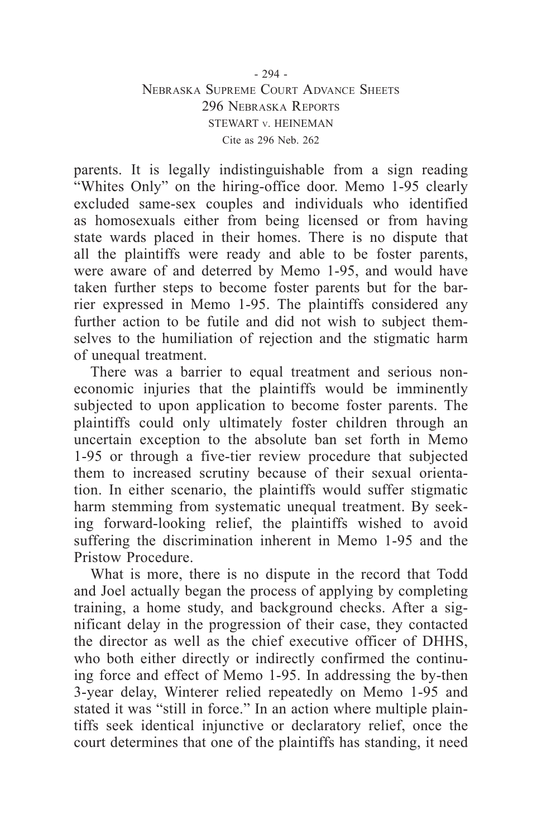## - 294 - Nebraska Supreme Court Advance Sheets 296 Nebraska Reports STEWART v. HEINEMAN Cite as 296 Neb. 262

parents. It is legally indistinguishable from a sign reading "Whites Only" on the hiring-office door. Memo 1-95 clearly excluded same-sex couples and individuals who identified as homosexuals either from being licensed or from having state wards placed in their homes. There is no dispute that all the plaintiffs were ready and able to be foster parents, were aware of and deterred by Memo 1-95, and would have taken further steps to become foster parents but for the barrier expressed in Memo 1-95. The plaintiffs considered any further action to be futile and did not wish to subject themselves to the humiliation of rejection and the stigmatic harm of unequal treatment.

There was a barrier to equal treatment and serious noneconomic injuries that the plaintiffs would be imminently subjected to upon application to become foster parents. The plaintiffs could only ultimately foster children through an uncertain exception to the absolute ban set forth in Memo 1-95 or through a five-tier review procedure that subjected them to increased scrutiny because of their sexual orientation. In either scenario, the plaintiffs would suffer stigmatic harm stemming from systematic unequal treatment. By seeking forward-looking relief, the plaintiffs wished to avoid suffering the discrimination inherent in Memo 1-95 and the Pristow Procedure.

What is more, there is no dispute in the record that Todd and Joel actually began the process of applying by completing training, a home study, and background checks. After a significant delay in the progression of their case, they contacted the director as well as the chief executive officer of DHHS, who both either directly or indirectly confirmed the continuing force and effect of Memo 1-95. In addressing the by-then 3-year delay, Winterer relied repeatedly on Memo 1-95 and stated it was "still in force." In an action where multiple plaintiffs seek identical injunctive or declaratory relief, once the court determines that one of the plaintiffs has standing, it need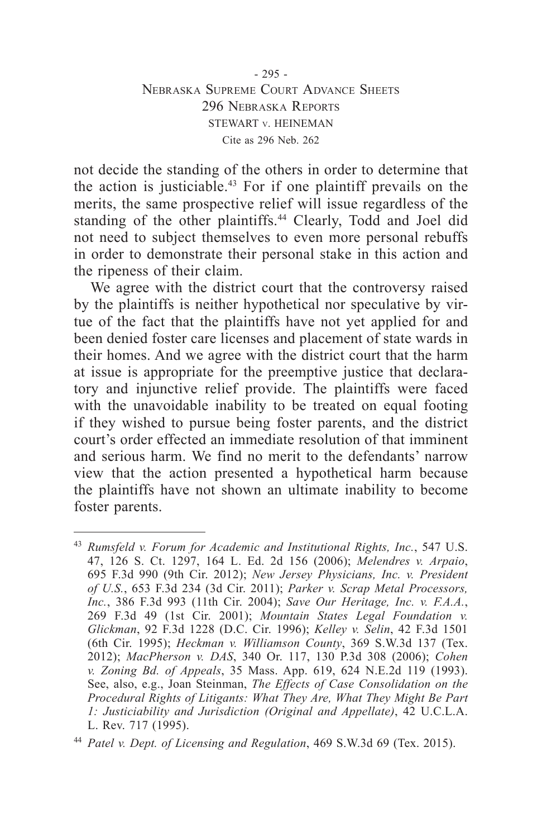## - 295 - Nebraska Supreme Court Advance Sheets 296 Nebraska Reports STEWART v. HEINEMAN Cite as 296 Neb. 262

not decide the standing of the others in order to determine that the action is justiciable.43 For if one plaintiff prevails on the merits, the same prospective relief will issue regardless of the standing of the other plaintiffs.<sup>44</sup> Clearly, Todd and Joel did not need to subject themselves to even more personal rebuffs in order to demonstrate their personal stake in this action and the ripeness of their claim.

We agree with the district court that the controversy raised by the plaintiffs is neither hypothetical nor speculative by virtue of the fact that the plaintiffs have not yet applied for and been denied foster care licenses and placement of state wards in their homes. And we agree with the district court that the harm at issue is appropriate for the preemptive justice that declaratory and injunctive relief provide. The plaintiffs were faced with the unavoidable inability to be treated on equal footing if they wished to pursue being foster parents, and the district court's order effected an immediate resolution of that imminent and serious harm. We find no merit to the defendants' narrow view that the action presented a hypothetical harm because the plaintiffs have not shown an ultimate inability to become foster parents.

<sup>43</sup> *Rumsfeld v. Forum for Academic and Institutional Rights, Inc.*, 547 U.S. 47, 126 S. Ct. 1297, 164 L. Ed. 2d 156 (2006); *Melendres v. Arpaio*, 695 F.3d 990 (9th Cir. 2012); *New Jersey Physicians, Inc. v. President of U.S.*, 653 F.3d 234 (3d Cir. 2011); *Parker v. Scrap Metal Processors, Inc.*, 386 F.3d 993 (11th Cir. 2004); *Save Our Heritage, Inc. v. F.A.A.*, 269 F.3d 49 (1st Cir. 2001); *Mountain States Legal Foundation v. Glickman*, 92 F.3d 1228 (D.C. Cir. 1996); *Kelley v. Selin*, 42 F.3d 1501 (6th Cir. 1995); *Heckman v. Williamson County*, 369 S.W.3d 137 (Tex. 2012); *MacPherson v. DAS*, 340 Or. 117, 130 P.3d 308 (2006); *Cohen v. Zoning Bd. of Appeals*, 35 Mass. App. 619, 624 N.E.2d 119 (1993). See, also, e.g., Joan Steinman, *The Effects of Case Consolidation on the Procedural Rights of Litigants: What They Are, What They Might Be Part 1: Justiciability and Jurisdiction (Original and Appellate)*, 42 U.C.L.A. L. Rev. 717 (1995).

<sup>44</sup> *Patel v. Dept. of Licensing and Regulation*, 469 S.W.3d 69 (Tex. 2015).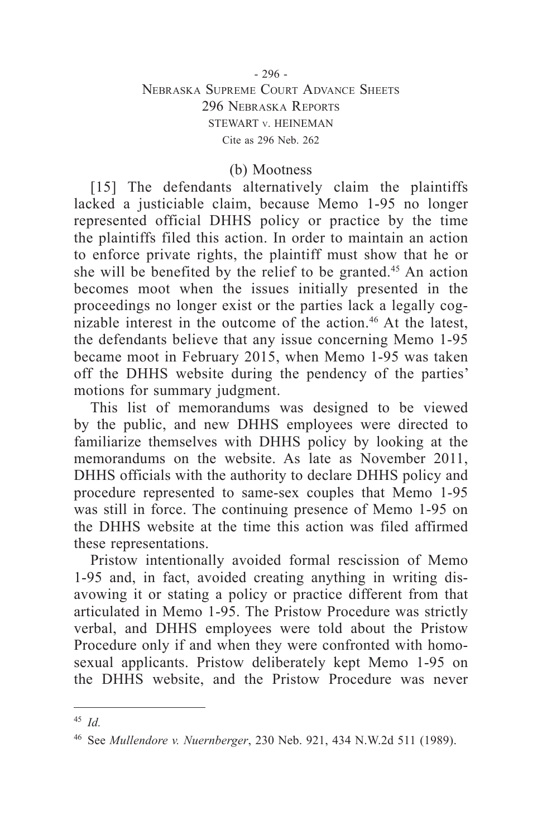## - 296 - Nebraska Supreme Court Advance Sheets 296 Nebraska Reports STEWART v. HEINEMAN Cite as 296 Neb. 262

## (b) Mootness

[15] The defendants alternatively claim the plaintiffs lacked a justiciable claim, because Memo 1-95 no longer represented official DHHS policy or practice by the time the plaintiffs filed this action. In order to maintain an action to enforce private rights, the plaintiff must show that he or she will be benefited by the relief to be granted.<sup>45</sup> An action becomes moot when the issues initially presented in the proceedings no longer exist or the parties lack a legally cognizable interest in the outcome of the action.<sup>46</sup> At the latest, the defendants believe that any issue concerning Memo 1-95 became moot in February 2015, when Memo 1-95 was taken off the DHHS website during the pendency of the parties' motions for summary judgment.

This list of memorandums was designed to be viewed by the public, and new DHHS employees were directed to familiarize themselves with DHHS policy by looking at the memorandums on the website. As late as November 2011, DHHS officials with the authority to declare DHHS policy and procedure represented to same-sex couples that Memo 1-95 was still in force. The continuing presence of Memo 1-95 on the DHHS website at the time this action was filed affirmed these representations.

Pristow intentionally avoided formal rescission of Memo 1-95 and, in fact, avoided creating anything in writing disavowing it or stating a policy or practice different from that articulated in Memo 1-95. The Pristow Procedure was strictly verbal, and DHHS employees were told about the Pristow Procedure only if and when they were confronted with homosexual applicants. Pristow deliberately kept Memo 1-95 on the DHHS website, and the Pristow Procedure was never

<sup>45</sup> *Id.*

<sup>46</sup> See *Mullendore v. Nuernberger*, 230 Neb. 921, 434 N.W.2d 511 (1989).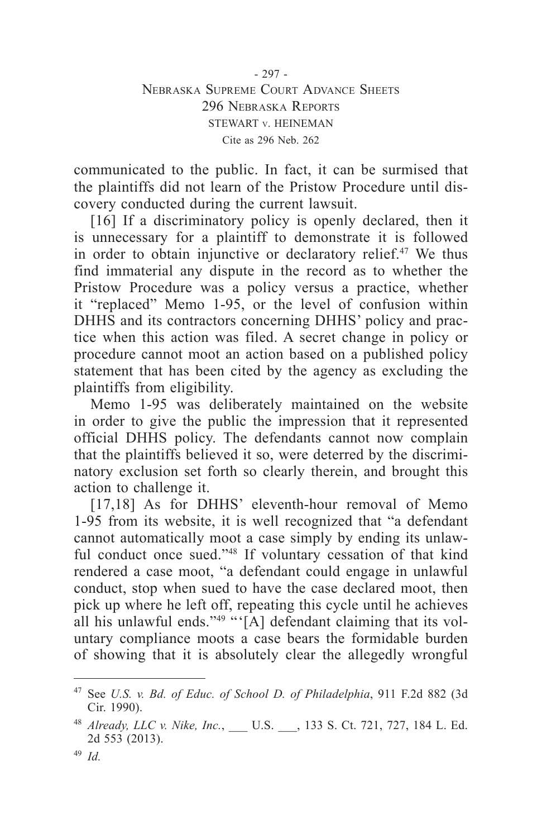- 297 - Nebraska Supreme Court Advance Sheets 296 Nebraska Reports STEWART v. HEINEMAN Cite as 296 Neb. 262

communicated to the public. In fact, it can be surmised that the plaintiffs did not learn of the Pristow Procedure until discovery conducted during the current lawsuit.

[16] If a discriminatory policy is openly declared, then it is unnecessary for a plaintiff to demonstrate it is followed in order to obtain injunctive or declaratory relief.<sup>47</sup> We thus find immaterial any dispute in the record as to whether the Pristow Procedure was a policy versus a practice, whether it "replaced" Memo 1-95, or the level of confusion within DHHS and its contractors concerning DHHS' policy and practice when this action was filed. A secret change in policy or procedure cannot moot an action based on a published policy statement that has been cited by the agency as excluding the plaintiffs from eligibility.

Memo 1-95 was deliberately maintained on the website in order to give the public the impression that it represented official DHHS policy. The defendants cannot now complain that the plaintiffs believed it so, were deterred by the discriminatory exclusion set forth so clearly therein, and brought this action to challenge it.

[17,18] As for DHHS' eleventh-hour removal of Memo 1-95 from its website, it is well recognized that "a defendant cannot automatically moot a case simply by ending its unlawful conduct once sued."48 If voluntary cessation of that kind rendered a case moot, "a defendant could engage in unlawful conduct, stop when sued to have the case declared moot, then pick up where he left off, repeating this cycle until he achieves all his unlawful ends." $49$  "'[A] defendant claiming that its voluntary compliance moots a case bears the formidable burden of showing that it is absolutely clear the allegedly wrongful

<sup>47</sup> See *U.S. v. Bd. of Educ. of School D. of Philadelphia*, 911 F.2d 882 (3d Cir. 1990).

<sup>48</sup> *Already, LLC v. Nike, Inc.*, U.S. , 133 S. Ct. 721, 727, 184 L. Ed. 2d 553 (2013).

<sup>49</sup> *Id.*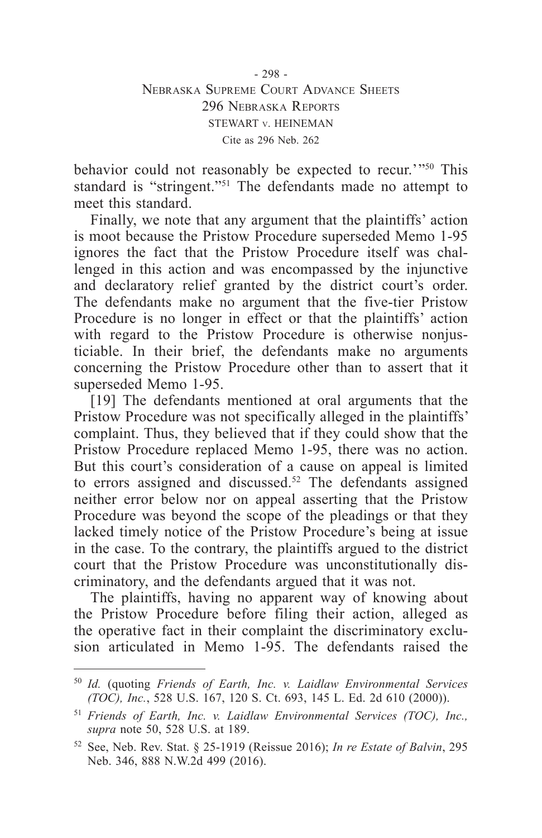behavior could not reasonably be expected to recur.'"50 This standard is "stringent."51 The defendants made no attempt to meet this standard.

Finally, we note that any argument that the plaintiffs' action is moot because the Pristow Procedure superseded Memo 1-95 ignores the fact that the Pristow Procedure itself was challenged in this action and was encompassed by the injunctive and declaratory relief granted by the district court's order. The defendants make no argument that the five-tier Pristow Procedure is no longer in effect or that the plaintiffs' action with regard to the Pristow Procedure is otherwise nonjusticiable. In their brief, the defendants make no arguments concerning the Pristow Procedure other than to assert that it superseded Memo 1-95.

[19] The defendants mentioned at oral arguments that the Pristow Procedure was not specifically alleged in the plaintiffs' complaint. Thus, they believed that if they could show that the Pristow Procedure replaced Memo 1-95, there was no action. But this court's consideration of a cause on appeal is limited to errors assigned and discussed.<sup>52</sup> The defendants assigned neither error below nor on appeal asserting that the Pristow Procedure was beyond the scope of the pleadings or that they lacked timely notice of the Pristow Procedure's being at issue in the case. To the contrary, the plaintiffs argued to the district court that the Pristow Procedure was unconstitutionally discriminatory, and the defendants argued that it was not.

The plaintiffs, having no apparent way of knowing about the Pristow Procedure before filing their action, alleged as the operative fact in their complaint the discriminatory exclusion articulated in Memo 1-95. The defendants raised the

<sup>50</sup> *Id.* (quoting *Friends of Earth, Inc. v. Laidlaw Environmental Services (TOC), Inc.*, 528 U.S. 167, 120 S. Ct. 693, 145 L. Ed. 2d 610 (2000)).

<sup>51</sup> *Friends of Earth, Inc. v. Laidlaw Environmental Services (TOC), Inc., supra* note 50, 528 U.S. at 189.

<sup>52</sup> See, Neb. Rev. Stat. § 25-1919 (Reissue 2016); *In re Estate of Balvin*, 295 Neb. 346, 888 N.W.2d 499 (2016).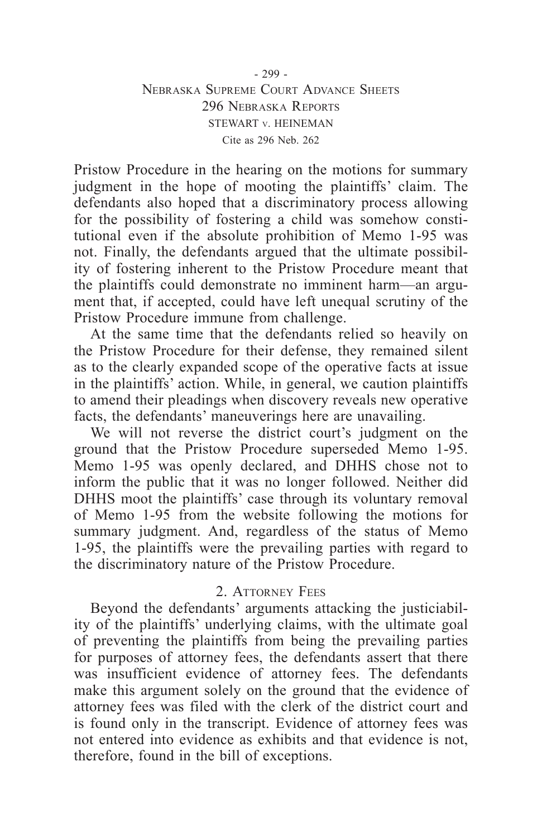## - 299 - Nebraska Supreme Court Advance Sheets 296 Nebraska Reports STEWART v. HEINEMAN Cite as 296 Neb. 262

Pristow Procedure in the hearing on the motions for summary judgment in the hope of mooting the plaintiffs' claim. The defendants also hoped that a discriminatory process allowing for the possibility of fostering a child was somehow constitutional even if the absolute prohibition of Memo 1-95 was not. Finally, the defendants argued that the ultimate possibility of fostering inherent to the Pristow Procedure meant that the plaintiffs could demonstrate no imminent harm—an argument that, if accepted, could have left unequal scrutiny of the Pristow Procedure immune from challenge.

At the same time that the defendants relied so heavily on the Pristow Procedure for their defense, they remained silent as to the clearly expanded scope of the operative facts at issue in the plaintiffs' action. While, in general, we caution plaintiffs to amend their pleadings when discovery reveals new operative facts, the defendants' maneuverings here are unavailing.

We will not reverse the district court's judgment on the ground that the Pristow Procedure superseded Memo 1-95. Memo 1-95 was openly declared, and DHHS chose not to inform the public that it was no longer followed. Neither did DHHS moot the plaintiffs' case through its voluntary removal of Memo 1-95 from the website following the motions for summary judgment. And, regardless of the status of Memo 1-95, the plaintiffs were the prevailing parties with regard to the discriminatory nature of the Pristow Procedure.

# 2 **ATTORNEY FEES**

Beyond the defendants' arguments attacking the justiciability of the plaintiffs' underlying claims, with the ultimate goal of preventing the plaintiffs from being the prevailing parties for purposes of attorney fees, the defendants assert that there was insufficient evidence of attorney fees. The defendants make this argument solely on the ground that the evidence of attorney fees was filed with the clerk of the district court and is found only in the transcript. Evidence of attorney fees was not entered into evidence as exhibits and that evidence is not, therefore, found in the bill of exceptions.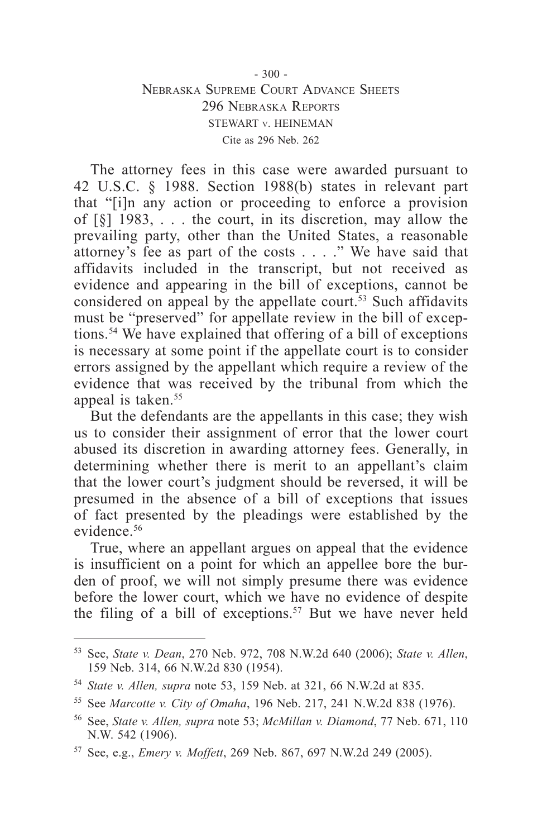## $-300 -$ Nebraska Supreme Court Advance Sheets 296 Nebraska Reports STEWART v. HEINEMAN Cite as 296 Neb. 262

The attorney fees in this case were awarded pursuant to 42 U.S.C. § 1988. Section 1988(b) states in relevant part that "[i]n any action or proceeding to enforce a provision of [§] 1983, . . . the court, in its discretion, may allow the prevailing party, other than the United States, a reasonable attorney's fee as part of the costs . . . ." We have said that affidavits included in the transcript, but not received as evidence and appearing in the bill of exceptions, cannot be considered on appeal by the appellate court.<sup>53</sup> Such affidavits must be "preserved" for appellate review in the bill of exceptions.54 We have explained that offering of a bill of exceptions is necessary at some point if the appellate court is to consider errors assigned by the appellant which require a review of the evidence that was received by the tribunal from which the appeal is taken.<sup>55</sup>

But the defendants are the appellants in this case; they wish us to consider their assignment of error that the lower court abused its discretion in awarding attorney fees. Generally, in determining whether there is merit to an appellant's claim that the lower court's judgment should be reversed, it will be presumed in the absence of a bill of exceptions that issues of fact presented by the pleadings were established by the evidence.56

True, where an appellant argues on appeal that the evidence is insufficient on a point for which an appellee bore the burden of proof, we will not simply presume there was evidence before the lower court, which we have no evidence of despite the filing of a bill of exceptions.<sup>57</sup> But we have never held

<sup>53</sup> See, *State v. Dean*, 270 Neb. 972, 708 N.W.2d 640 (2006); *State v. Allen*, 159 Neb. 314, 66 N.W.2d 830 (1954).

<sup>54</sup> *State v. Allen, supra* note 53, 159 Neb. at 321, 66 N.W.2d at 835.

<sup>55</sup> See *Marcotte v. City of Omaha*, 196 Neb. 217, 241 N.W.2d 838 (1976).

<sup>56</sup> See, *State v. Allen, supra* note 53; *McMillan v. Diamond*, 77 Neb. 671, 110 N.W. 542 (1906).

<sup>57</sup> See, e.g., *Emery v. Moffett*, 269 Neb. 867, 697 N.W.2d 249 (2005).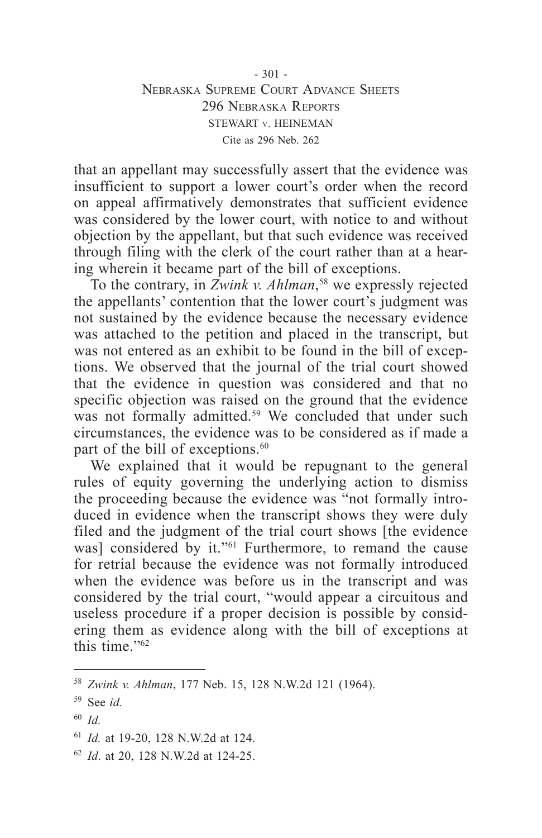$-301 -$ Nebraska Supreme Court Advance Sheets 296 Nebraska Reports STEWART v. HEINEMAN Cite as 296 Neb. 262

that an appellant may successfully assert that the evidence was insufficient to support a lower court's order when the record on appeal affirmatively demonstrates that sufficient evidence was considered by the lower court, with notice to and without objection by the appellant, but that such evidence was received through filing with the clerk of the court rather than at a hearing wherein it became part of the bill of exceptions.

To the contrary, in *Zwink v. Ahlman*, 58 we expressly rejected the appellants' contention that the lower court's judgment was not sustained by the evidence because the necessary evidence was attached to the petition and placed in the transcript, but was not entered as an exhibit to be found in the bill of exceptions. We observed that the journal of the trial court showed that the evidence in question was considered and that no specific objection was raised on the ground that the evidence was not formally admitted.<sup>59</sup> We concluded that under such circumstances, the evidence was to be considered as if made a part of the bill of exceptions.<sup>60</sup>

We explained that it would be repugnant to the general rules of equity governing the underlying action to dismiss the proceeding because the evidence was "not formally introduced in evidence when the transcript shows they were duly filed and the judgment of the trial court shows [the evidence was] considered by it."<sup>61</sup> Furthermore, to remand the cause for retrial because the evidence was not formally introduced when the evidence was before us in the transcript and was considered by the trial court, "would appear a circuitous and useless procedure if a proper decision is possible by considering them as evidence along with the bill of exceptions at this time."<sup>62</sup>

<sup>58</sup> *Zwink v. Ahlman*, 177 Neb. 15, 128 N.W.2d 121 (1964).

<sup>59</sup> See *id.*

<sup>60</sup> *Id.*

<sup>61</sup> *Id.* at 19-20, 128 N.W.2d at 124.

<sup>62</sup> *Id*. at 20, 128 N.W.2d at 124-25.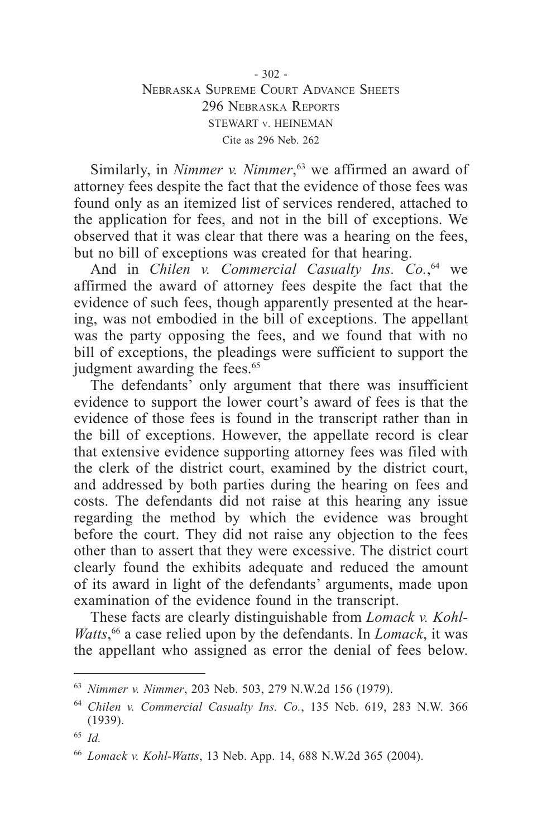#### $-302 -$ Nebraska Supreme Court Advance Sheets 296 Nebraska Reports STEWART v. HEINEMAN Cite as 296 Neb. 262

Similarly, in *Nimmer v. Nimmer*, <sup>63</sup> we affirmed an award of attorney fees despite the fact that the evidence of those fees was found only as an itemized list of services rendered, attached to the application for fees, and not in the bill of exceptions. We observed that it was clear that there was a hearing on the fees, but no bill of exceptions was created for that hearing.

And in *Chilen v. Commercial Casualty Ins. Co.*, 64 we affirmed the award of attorney fees despite the fact that the evidence of such fees, though apparently presented at the hearing, was not embodied in the bill of exceptions. The appellant was the party opposing the fees, and we found that with no bill of exceptions, the pleadings were sufficient to support the judgment awarding the fees.<sup>65</sup>

The defendants' only argument that there was insufficient evidence to support the lower court's award of fees is that the evidence of those fees is found in the transcript rather than in the bill of exceptions. However, the appellate record is clear that extensive evidence supporting attorney fees was filed with the clerk of the district court, examined by the district court, and addressed by both parties during the hearing on fees and costs. The defendants did not raise at this hearing any issue regarding the method by which the evidence was brought before the court. They did not raise any objection to the fees other than to assert that they were excessive. The district court clearly found the exhibits adequate and reduced the amount of its award in light of the defendants' arguments, made upon examination of the evidence found in the transcript.

These facts are clearly distinguishable from *Lomack v. Kohl-Watts*, 66 a case relied upon by the defendants. In *Lomack*, it was the appellant who assigned as error the denial of fees below.

<sup>63</sup> *Nimmer v. Nimmer*, 203 Neb. 503, 279 N.W.2d 156 (1979).

<sup>64</sup> *Chilen v. Commercial Casualty Ins. Co.*, 135 Neb. 619, 283 N.W. 366 (1939).

<sup>65</sup> *Id.*

<sup>66</sup> *Lomack v. Kohl-Watts*, 13 Neb. App. 14, 688 N.W.2d 365 (2004).